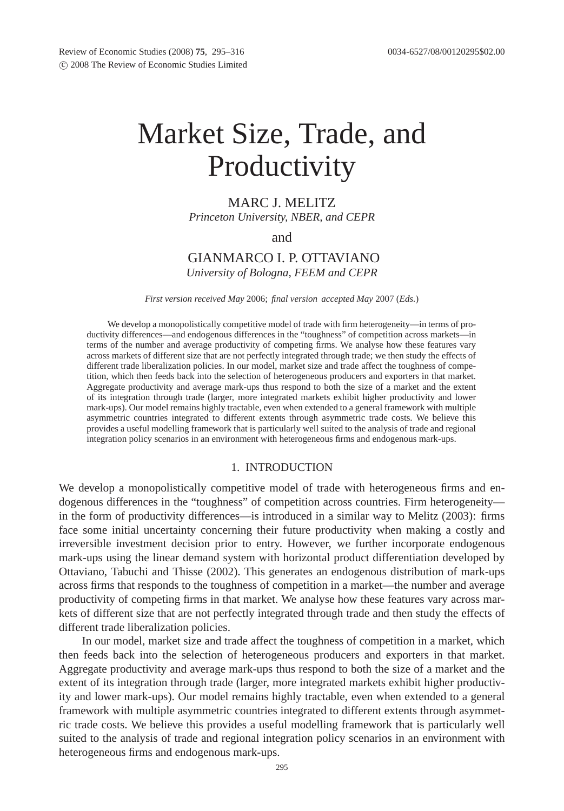Review of Economic Studies (2008) **75**, 295–316 0034-6527/08/00120295\$02.00 c 2008 The Review of Economic Studies Limited

# Market Size, Trade, and **Productivity**

MARC J. MELITZ *Princeton University, NBER, and CEPR*

## and

## GIANMARCO I. P. OTTAVIANO *University of Bologna, FEEM and CEPR*

*First version received May* 2006; *final version accepted May* 2007 (*Eds.*)

We develop a monopolistically competitive model of trade with firm heterogeneity—in terms of productivity differences—and endogenous differences in the "toughness" of competition across markets—in terms of the number and average productivity of competing firms. We analyse how these features vary across markets of different size that are not perfectly integrated through trade; we then study the effects of different trade liberalization policies. In our model, market size and trade affect the toughness of competition, which then feeds back into the selection of heterogeneous producers and exporters in that market. Aggregate productivity and average mark-ups thus respond to both the size of a market and the extent of its integration through trade (larger, more integrated markets exhibit higher productivity and lower mark-ups). Our model remains highly tractable, even when extended to a general framework with multiple asymmetric countries integrated to different extents through asymmetric trade costs. We believe this provides a useful modelling framework that is particularly well suited to the analysis of trade and regional integration policy scenarios in an environment with heterogeneous firms and endogenous mark-ups.

## 1. INTRODUCTION

We develop a monopolistically competitive model of trade with heterogeneous firms and endogenous differences in the "toughness" of competition across countries. Firm heterogeneity in the form of productivity differences—is introduced in a similar way to Melitz (2003): firms face some initial uncertainty concerning their future productivity when making a costly and irreversible investment decision prior to entry. However, we further incorporate endogenous mark-ups using the linear demand system with horizontal product differentiation developed by Ottaviano, Tabuchi and Thisse (2002). This generates an endogenous distribution of mark-ups across firms that responds to the toughness of competition in a market—the number and average productivity of competing firms in that market. We analyse how these features vary across markets of different size that are not perfectly integrated through trade and then study the effects of different trade liberalization policies.

In our model, market size and trade affect the toughness of competition in a market, which then feeds back into the selection of heterogeneous producers and exporters in that market. Aggregate productivity and average mark-ups thus respond to both the size of a market and the extent of its integration through trade (larger, more integrated markets exhibit higher productivity and lower mark-ups). Our model remains highly tractable, even when extended to a general framework with multiple asymmetric countries integrated to different extents through asymmetric trade costs. We believe this provides a useful modelling framework that is particularly well suited to the analysis of trade and regional integration policy scenarios in an environment with heterogeneous firms and endogenous mark-ups.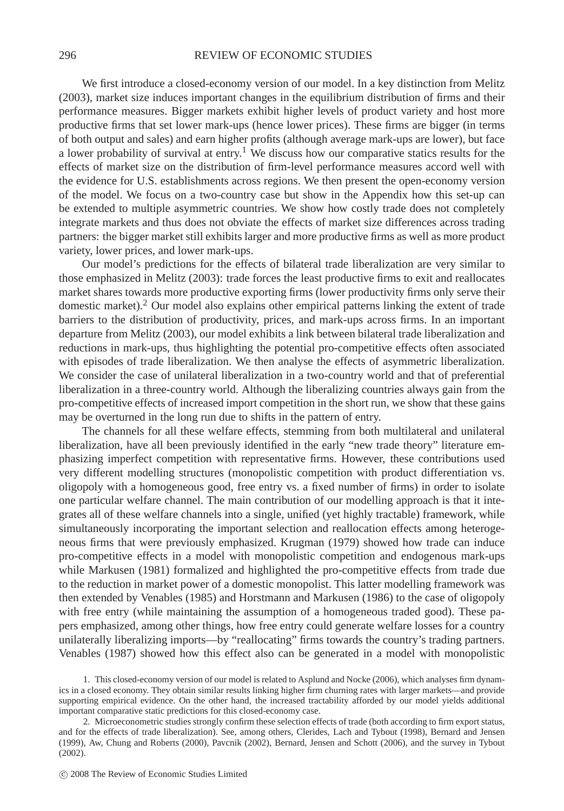We first introduce a closed-economy version of our model. In a key distinction from Melitz (2003), market size induces important changes in the equilibrium distribution of firms and their performance measures. Bigger markets exhibit higher levels of product variety and host more productive firms that set lower mark-ups (hence lower prices). These firms are bigger (in terms of both output and sales) and earn higher profits (although average mark-ups are lower), but face a lower probability of survival at entry.<sup>1</sup> We discuss how our comparative statics results for the effects of market size on the distribution of firm-level performance measures accord well with the evidence for U.S. establishments across regions. We then present the open-economy version of the model. We focus on a two-country case but show in the Appendix how this set-up can be extended to multiple asymmetric countries. We show how costly trade does not completely integrate markets and thus does not obviate the effects of market size differences across trading partners: the bigger market still exhibits larger and more productive firms as well as more product variety, lower prices, and lower mark-ups.

Our model's predictions for the effects of bilateral trade liberalization are very similar to those emphasized in Melitz (2003): trade forces the least productive firms to exit and reallocates market shares towards more productive exporting firms (lower productivity firms only serve their domestic market).<sup>2</sup> Our model also explains other empirical patterns linking the extent of trade barriers to the distribution of productivity, prices, and mark-ups across firms. In an important departure from Melitz (2003), our model exhibits a link between bilateral trade liberalization and reductions in mark-ups, thus highlighting the potential pro-competitive effects often associated with episodes of trade liberalization. We then analyse the effects of asymmetric liberalization. We consider the case of unilateral liberalization in a two-country world and that of preferential liberalization in a three-country world. Although the liberalizing countries always gain from the pro-competitive effects of increased import competition in the short run, we show that these gains may be overturned in the long run due to shifts in the pattern of entry.

The channels for all these welfare effects, stemming from both multilateral and unilateral liberalization, have all been previously identified in the early "new trade theory" literature emphasizing imperfect competition with representative firms. However, these contributions used very different modelling structures (monopolistic competition with product differentiation vs. oligopoly with a homogeneous good, free entry vs. a fixed number of firms) in order to isolate one particular welfare channel. The main contribution of our modelling approach is that it integrates all of these welfare channels into a single, unified (yet highly tractable) framework, while simultaneously incorporating the important selection and reallocation effects among heterogeneous firms that were previously emphasized. Krugman (1979) showed how trade can induce pro-competitive effects in a model with monopolistic competition and endogenous mark-ups while Markusen (1981) formalized and highlighted the pro-competitive effects from trade due to the reduction in market power of a domestic monopolist. This latter modelling framework was then extended by Venables (1985) and Horstmann and Markusen (1986) to the case of oligopoly with free entry (while maintaining the assumption of a homogeneous traded good). These papers emphasized, among other things, how free entry could generate welfare losses for a country unilaterally liberalizing imports—by "reallocating" firms towards the country's trading partners. Venables (1987) showed how this effect also can be generated in a model with monopolistic

<sup>1.</sup> This closed-economy version of our model is related to Asplund and Nocke (2006), which analyses firm dynamics in a closed economy. They obtain similar results linking higher firm churning rates with larger markets—and provide supporting empirical evidence. On the other hand, the increased tractability afforded by our model yields additional important comparative static predictions for this closed-economy case.

<sup>2.</sup> Microeconometric studies strongly confirm these selection effects of trade (both according to firm export status, and for the effects of trade liberalization). See, among others, Clerides, Lach and Tybout (1998), Bernard and Jensen (1999), Aw, Chung and Roberts (2000), Pavcnik (2002), Bernard, Jensen and Schott (2006), and the survey in Tybout (2002).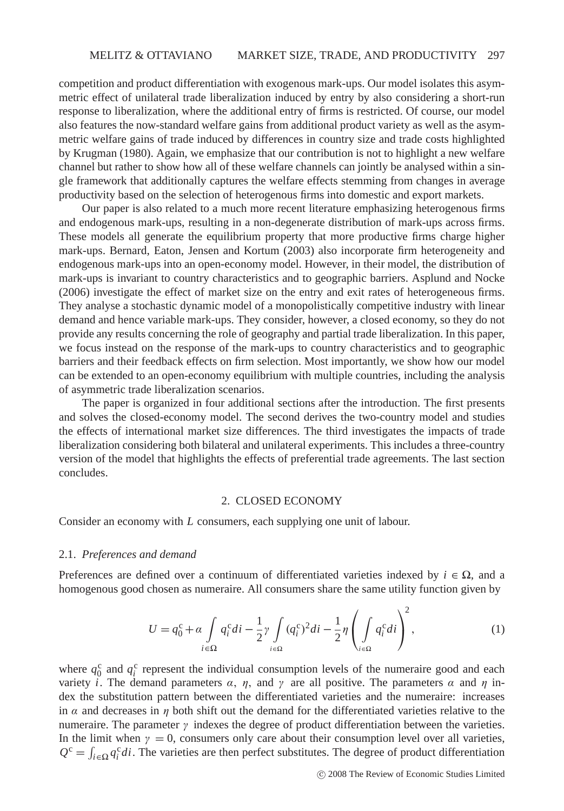competition and product differentiation with exogenous mark-ups. Our model isolates this asymmetric effect of unilateral trade liberalization induced by entry by also considering a short-run response to liberalization, where the additional entry of firms is restricted. Of course, our model also features the now-standard welfare gains from additional product variety as well as the asymmetric welfare gains of trade induced by differences in country size and trade costs highlighted by Krugman (1980). Again, we emphasize that our contribution is not to highlight a new welfare channel but rather to show how all of these welfare channels can jointly be analysed within a single framework that additionally captures the welfare effects stemming from changes in average productivity based on the selection of heterogenous firms into domestic and export markets.

Our paper is also related to a much more recent literature emphasizing heterogenous firms and endogenous mark-ups, resulting in a non-degenerate distribution of mark-ups across firms. These models all generate the equilibrium property that more productive firms charge higher mark-ups. Bernard, Eaton, Jensen and Kortum (2003) also incorporate firm heterogeneity and endogenous mark-ups into an open-economy model. However, in their model, the distribution of mark-ups is invariant to country characteristics and to geographic barriers. Asplund and Nocke (2006) investigate the effect of market size on the entry and exit rates of heterogeneous firms. They analyse a stochastic dynamic model of a monopolistically competitive industry with linear demand and hence variable mark-ups. They consider, however, a closed economy, so they do not provide any results concerning the role of geography and partial trade liberalization. In this paper, we focus instead on the response of the mark-ups to country characteristics and to geographic barriers and their feedback effects on firm selection. Most importantly, we show how our model can be extended to an open-economy equilibrium with multiple countries, including the analysis of asymmetric trade liberalization scenarios.

The paper is organized in four additional sections after the introduction. The first presents and solves the closed-economy model. The second derives the two-country model and studies the effects of international market size differences. The third investigates the impacts of trade liberalization considering both bilateral and unilateral experiments. This includes a three-country version of the model that highlights the effects of preferential trade agreements. The last section concludes.

## 2. CLOSED ECONOMY

Consider an economy with *L* consumers, each supplying one unit of labour.

## 2.1. *Preferences and demand*

Preferences are defined over a continuum of differentiated varieties indexed by  $i \in \Omega$ , and a homogenous good chosen as numeraire. All consumers share the same utility function given by

$$
U = q_0^c + \alpha \int\limits_{i \in \Omega} q_i^c \, di - \frac{1}{2} \gamma \int\limits_{i \in \Omega} (q_i^c)^2 \, di - \frac{1}{2} \eta \left( \int\limits_{i \in \Omega} q_i^c \, di \right)^2, \tag{1}
$$

where  $q_0^c$  and  $q_i^c$  represent the individual consumption levels of the numeraire good and each variety *i*. The demand parameters  $\alpha$ ,  $\eta$ , and  $\gamma$  are all positive. The parameters  $\alpha$  and  $\eta$  index the substitution pattern between the differentiated varieties and the numeraire: increases in  $\alpha$  and decreases in  $\eta$  both shift out the demand for the differentiated varieties relative to the numeraire. The parameter  $\gamma$  indexes the degree of product differentiation between the varieties. In the limit when  $\gamma = 0$ , consumers only care about their consumption level over all varieties,  $Q^c = \int_{i \in \Omega} q_i^c di$ . The varieties are then perfect substitutes. The degree of product differentiation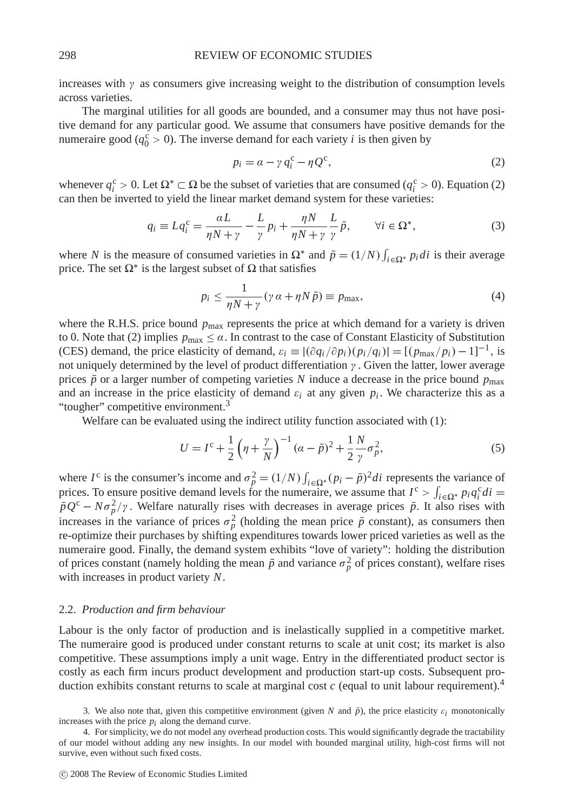increases with  $\gamma$  as consumers give increasing weight to the distribution of consumption levels across varieties.

The marginal utilities for all goods are bounded, and a consumer may thus not have positive demand for any particular good. We assume that consumers have positive demands for the numeraire good ( $q_0^c > 0$ ). The inverse demand for each variety *i* is then given by

$$
p_i = \alpha - \gamma q_i^c - \eta Q^c,\tag{2}
$$

whenever  $q_i^c > 0$ . Let  $\Omega^* \subset \Omega$  be the subset of varieties that are consumed ( $q_i^c > 0$ ). Equation (2) can then be inverted to yield the linear market demand system for these varieties:

$$
q_i \equiv Lq_i^c = \frac{\alpha L}{\eta N + \gamma} - \frac{L}{\gamma} p_i + \frac{\eta N}{\eta N + \gamma} \frac{L}{\gamma} \bar{p}, \qquad \forall i \in \Omega^*,
$$
 (3)

where *N* is the measure of consumed varieties in  $\Omega^*$  and  $\bar{p} = (1/N) \int_{i \in \Omega^*} p_i di$  is their average price. The set  $\Omega^*$  is the largest subset of  $\Omega$  that satisfies

$$
p_i \le \frac{1}{\eta N + \gamma} (\gamma \alpha + \eta N \bar{p}) \equiv p_{\text{max}}, \tag{4}
$$

where the R.H.S. price bound  $p_{\text{max}}$  represents the price at which demand for a variety is driven to 0. Note that (2) implies  $p_{\text{max}} \leq \alpha$ . In contrast to the case of Constant Elasticity of Substitution (CES) demand, the price elasticity of demand,  $\varepsilon_i \equiv |(\partial q_i/\partial p_i)(p_i/q_i)| = |(p_{\text{max}}/p_i) - 1|^{-1}$ , is not uniquely determined by the level of product differentiation  $\gamma$ . Given the latter, lower average prices  $\bar{p}$  or a larger number of competing varieties *N* induce a decrease in the price bound  $p_{\text{max}}$ and an increase in the price elasticity of demand  $\varepsilon_i$  at any given  $p_i$ . We characterize this as a "tougher" competitive environment.<sup>3</sup>

Welfare can be evaluated using the indirect utility function associated with (1):

$$
U = I^{c} + \frac{1}{2} \left( \eta + \frac{\gamma}{N} \right)^{-1} (\alpha - \bar{p})^{2} + \frac{1}{2} \frac{N}{\gamma} \sigma_{p}^{2},
$$
 (5)

where *I*<sup>c</sup> is the consumer's income and  $\sigma_p^2 = (1/N) \int_{i \in \Omega^*} (p_i - \bar{p})^2 di$  represents the variance of prices. To ensure positive demand levels for the numeraire, we assume that  $I^c > \int_{i \in \Omega^*} p_i q_i^c di =$  $\bar{p}Q^c - N\sigma_p^2/\gamma$ . Welfare naturally rises with decreases in average prices  $\bar{p}$ . It also rises with increases in the variance of prices  $\sigma_p^2$  (holding the mean price  $\bar{p}$  constant), as consumers then re-optimize their purchases by shifting expenditures towards lower priced varieties as well as the numeraire good. Finally, the demand system exhibits "love of variety": holding the distribution of prices constant (namely holding the mean  $\bar{p}$  and variance  $\sigma_p^2$  of prices constant), welfare rises with increases in product variety *N*.

## 2.2. *Production and firm behaviour*

Labour is the only factor of production and is inelastically supplied in a competitive market. The numeraire good is produced under constant returns to scale at unit cost; its market is also competitive. These assumptions imply a unit wage. Entry in the differentiated product sector is costly as each firm incurs product development and production start-up costs. Subsequent production exhibits constant returns to scale at marginal cost  $c$  (equal to unit labour requirement).<sup>4</sup>

<sup>3.</sup> We also note that, given this competitive environment (given *N* and  $\bar{p}$ ), the price elasticity  $\varepsilon_i$  monotonically increases with the price *pi* along the demand curve.

<sup>4.</sup> For simplicity, we do not model any overhead production costs. This would significantly degrade the tractability of our model without adding any new insights. In our model with bounded marginal utility, high-cost firms will not survive, even without such fixed costs.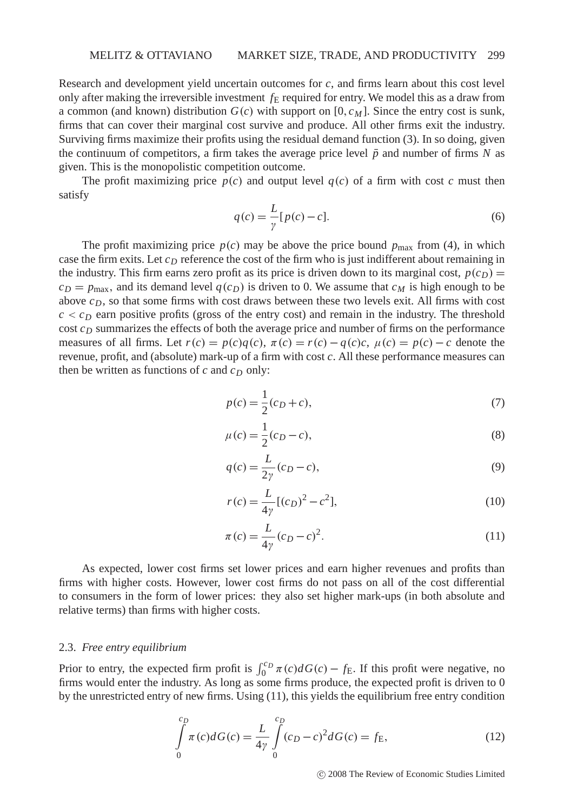Research and development yield uncertain outcomes for *c*, and firms learn about this cost level only after making the irreversible investment  $f<sub>E</sub>$  required for entry. We model this as a draw from a common (and known) distribution  $G(c)$  with support on  $[0, c<sub>M</sub>]$ . Since the entry cost is sunk, firms that can cover their marginal cost survive and produce. All other firms exit the industry. Surviving firms maximize their profits using the residual demand function (3). In so doing, given the continuum of competitors, a firm takes the average price level  $\bar{p}$  and number of firms *N* as given. This is the monopolistic competition outcome.

The profit maximizing price  $p(c)$  and output level  $q(c)$  of a firm with cost *c* must then satisfy

$$
q(c) = \frac{L}{\gamma}[p(c) - c].\tag{6}
$$

The profit maximizing price  $p(c)$  may be above the price bound  $p_{\text{max}}$  from (4), in which case the firm exits. Let  $c<sub>D</sub>$  reference the cost of the firm who is just indifferent about remaining in the industry. This firm earns zero profit as its price is driven down to its marginal cost,  $p(c_D)$  =  $c_D = p_{\text{max}}$ , and its demand level  $q(c_D)$  is driven to 0. We assume that  $c_M$  is high enough to be above *cD*, so that some firms with cost draws between these two levels exit. All firms with cost  $c < c<sub>D</sub>$  earn positive profits (gross of the entry cost) and remain in the industry. The threshold cost  $c<sub>D</sub>$  summarizes the effects of both the average price and number of firms on the performance measures of all firms. Let  $r(c) = p(c)q(c)$ ,  $\pi(c) = r(c) - q(c)c$ ,  $\mu(c) = p(c) - c$  denote the revenue, profit, and (absolute) mark-up of a firm with cost *c*. All these performance measures can then be written as functions of  $c$  and  $c_D$  only:

$$
p(c) = \frac{1}{2}(c_D + c),
$$
\n(7)

$$
\mu(c) = \frac{1}{2}(c_D - c),\tag{8}
$$

$$
q(c) = \frac{L}{2\gamma}(c_D - c),\tag{9}
$$

$$
r(c) = \frac{L}{4\gamma} [(c_D)^2 - c^2],
$$
\n(10)

$$
\pi(c) = \frac{L}{4\gamma}(c_D - c)^2.
$$
 (11)

As expected, lower cost firms set lower prices and earn higher revenues and profits than firms with higher costs. However, lower cost firms do not pass on all of the cost differential to consumers in the form of lower prices: they also set higher mark-ups (in both absolute and relative terms) than firms with higher costs.

#### 2.3. *Free entry equilibrium*

Prior to entry, the expected firm profit is  $\int_0^{c} \pi(c) dG(c) - f_E$ . If this profit were negative, no firms would enter the industry. As long as some firms produce, the expected profit is driven to 0 by the unrestricted entry of new firms. Using (11), this yields the equilibrium free entry condition

$$
\int_{0}^{c_D} \pi(c)dG(c) = \frac{L}{4\gamma} \int_{0}^{c_D} (c_D - c)^2 dG(c) = f_E,
$$
\n(12)

c 2008 The Review of Economic Studies Limited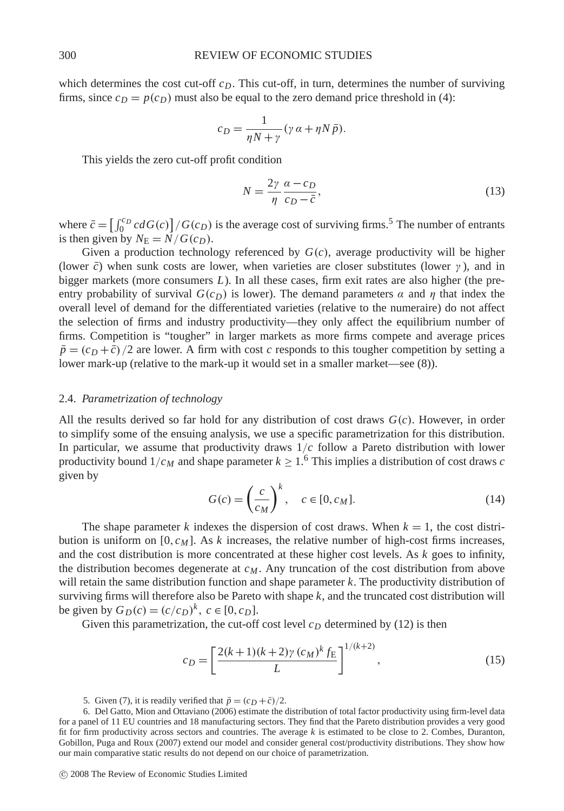which determines the cost cut-off  $c<sub>D</sub>$ . This cut-off, in turn, determines the number of surviving firms, since  $c_D = p(c_D)$  must also be equal to the zero demand price threshold in (4):

$$
c_D = \frac{1}{\eta N + \gamma} (\gamma \alpha + \eta N \bar{p}).
$$

This yields the zero cut-off profit condition

$$
N = \frac{2\gamma}{\eta} \frac{\alpha - c_D}{c_D - \bar{c}},\tag{13}
$$

where  $\bar{c} = \left[\int_0^{c_D} c dG(c)\right] / G(c_D)$  is the average cost of surviving firms.<sup>5</sup> The number of entrants is then given by  $N_{\rm E} = N/G(c_D)$ .

Given a production technology referenced by  $G(c)$ , average productivity will be higher (lower  $\bar{c}$ ) when sunk costs are lower, when varieties are closer substitutes (lower  $\gamma$ ), and in bigger markets (more consumers *L*). In all these cases, firm exit rates are also higher (the preentry probability of survival  $G(c_D)$  is lower). The demand parameters  $\alpha$  and  $\eta$  that index the overall level of demand for the differentiated varieties (relative to the numeraire) do not affect the selection of firms and industry productivity—they only affect the equilibrium number of firms. Competition is "tougher" in larger markets as more firms compete and average prices  $\bar{p} = (c_D + \bar{c})/2$  are lower. A firm with cost *c* responds to this tougher competition by setting a lower mark-up (relative to the mark-up it would set in a smaller market—see (8)).

#### 2.4. *Parametrization of technology*

All the results derived so far hold for any distribution of cost draws *G*(*c*). However, in order to simplify some of the ensuing analysis, we use a specific parametrization for this distribution. In particular, we assume that productivity draws 1/*c* follow a Pareto distribution with lower productivity bound  $1/c_M$  and shape parameter  $k \ge 1.6$  This implies a distribution of cost draws *c* given by

$$
G(c) = \left(\frac{c}{c_M}\right)^k, \quad c \in [0, c_M].
$$
\n(14)

The shape parameter *k* indexes the dispersion of cost draws. When  $k = 1$ , the cost distribution is uniform on  $[0, c<sub>M</sub>]$ . As *k* increases, the relative number of high-cost firms increases, and the cost distribution is more concentrated at these higher cost levels. As *k* goes to infinity, the distribution becomes degenerate at *cM* . Any truncation of the cost distribution from above will retain the same distribution function and shape parameter *k*. The productivity distribution of surviving firms will therefore also be Pareto with shape *k*, and the truncated cost distribution will be given by  $G_D(c) = (c/c_D)^k$ ,  $c \in [0, c_D]$ .

Given this parametrization, the cut-off cost level  $c<sub>D</sub>$  determined by (12) is then

$$
c_D = \left[\frac{2(k+1)(k+2)\gamma (c_M)^k f_E}{L}\right]^{1/(k+2)},
$$
\n(15)

5. Given (7), it is readily verified that  $\bar{p} = (c_D + \bar{c})/2$ .

6. Del Gatto, Mion and Ottaviano (2006) estimate the distribution of total factor productivity using firm-level data for a panel of 11 EU countries and 18 manufacturing sectors. They find that the Pareto distribution provides a very good fit for firm productivity across sectors and countries. The average *k* is estimated to be close to 2. Combes, Duranton, Gobillon, Puga and Roux (2007) extend our model and consider general cost/productivity distributions. They show how our main comparative static results do not depend on our choice of parametrization.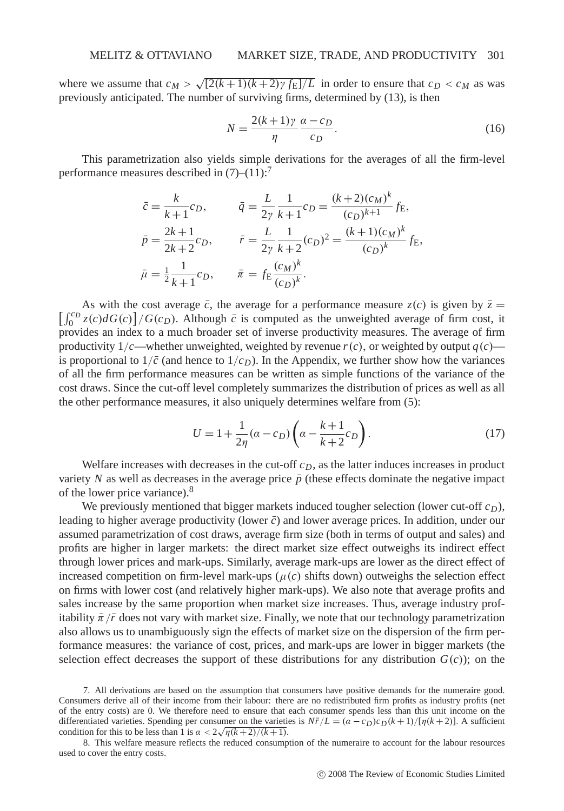where we assume that  $c_M > \sqrt{2(k+1)(k+2)\gamma f_E/L}$  in order to ensure that  $c_D < c_M$  as was previously anticipated. The number of surviving firms, determined by (13), is then

$$
N = \frac{2(k+1)\gamma}{\eta} \frac{\alpha - c_D}{c_D}.
$$
\n(16)

This parametrization also yields simple derivations for the averages of all the firm-level performance measures described in  $(7)-(11)$ :<sup>7</sup>

$$
\bar{c} = \frac{k}{k+1}c_D, \qquad \bar{q} = \frac{L}{2\gamma} \frac{1}{k+1}c_D = \frac{(k+2)(c_M)^k}{(c_D)^{k+1}} f_E,
$$
\n
$$
\bar{p} = \frac{2k+1}{2k+2}c_D, \qquad \bar{r} = \frac{L}{2\gamma} \frac{1}{k+2}(c_D)^2 = \frac{(k+1)(c_M)^k}{(c_D)^k} f_E,
$$
\n
$$
\bar{\mu} = \frac{1}{2}\frac{1}{k+1}c_D, \qquad \bar{\pi} = f_E \frac{(c_M)^k}{(c_D)^k}.
$$

As with the cost average  $\bar{c}$ , the average for a performance measure  $z(c)$  is given by  $\bar{z} = \left[\int_0^{c_D} z(c)dG(c)\right] / G(c_D)$ . Although  $\bar{c}$  is computed as the unweighted average of firm cost, it provides an index to a much broader set of inverse productivity measures. The average of firm productivity  $1/c$ —whether unweighted, weighted by revenue  $r(c)$ , or weighted by output  $q(c)$  is proportional to  $1/\bar{c}$  (and hence to  $1/c_D$ ). In the Appendix, we further show how the variances of all the firm performance measures can be written as simple functions of the variance of the cost draws. Since the cut-off level completely summarizes the distribution of prices as well as all the other performance measures, it also uniquely determines welfare from (5):

$$
U = 1 + \frac{1}{2\eta} (a - c_D) \left( a - \frac{k+1}{k+2} c_D \right).
$$
 (17)

Welfare increases with decreases in the cut-off  $c<sub>D</sub>$ , as the latter induces increases in product variety *N* as well as decreases in the average price  $\bar{p}$  (these effects dominate the negative impact of the lower price variance).8

We previously mentioned that bigger markets induced tougher selection (lower cut-off  $c_D$ ), leading to higher average productivity (lower  $\bar{c}$ ) and lower average prices. In addition, under our assumed parametrization of cost draws, average firm size (both in terms of output and sales) and profits are higher in larger markets: the direct market size effect outweighs its indirect effect through lower prices and mark-ups. Similarly, average mark-ups are lower as the direct effect of increased competition on firm-level mark-ups ( $\mu(c)$  shifts down) outweighs the selection effect on firms with lower cost (and relatively higher mark-ups). We also note that average profits and sales increase by the same proportion when market size increases. Thus, average industry profitability  $\bar{\pi}/\bar{r}$  does not vary with market size. Finally, we note that our technology parametrization also allows us to unambiguously sign the effects of market size on the dispersion of the firm performance measures: the variance of cost, prices, and mark-ups are lower in bigger markets (the selection effect decreases the support of these distributions for any distribution  $G(c)$ ); on the

8. This welfare measure reflects the reduced consumption of the numeraire to account for the labour resources used to cover the entry costs.

<sup>7.</sup> All derivations are based on the assumption that consumers have positive demands for the numeraire good. Consumers derive all of their income from their labour: there are no redistributed firm profits as industry profits (net of the entry costs) are 0. We therefore need to ensure that each consumer spends less than this unit income on the differentiated varieties. Spending per consumer on the varieties is  $N\bar{r}/L = (\alpha - c_D)c_D(k+1)/[\eta(k+2)]$ . A sufficient condition for this to be less than 1 is  $\alpha < 2\sqrt{\eta(k+2)/(k+1)}$ .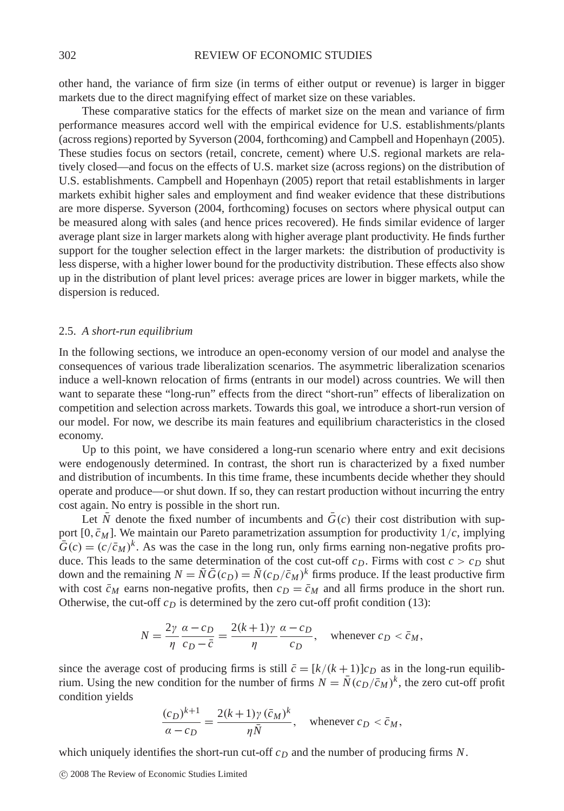other hand, the variance of firm size (in terms of either output or revenue) is larger in bigger markets due to the direct magnifying effect of market size on these variables.

These comparative statics for the effects of market size on the mean and variance of firm performance measures accord well with the empirical evidence for U.S. establishments/plants (across regions) reported by Syverson (2004, forthcoming) and Campbell and Hopenhayn (2005). These studies focus on sectors (retail, concrete, cement) where U.S. regional markets are relatively closed—and focus on the effects of U.S. market size (across regions) on the distribution of U.S. establishments. Campbell and Hopenhayn (2005) report that retail establishments in larger markets exhibit higher sales and employment and find weaker evidence that these distributions are more disperse. Syverson (2004, forthcoming) focuses on sectors where physical output can be measured along with sales (and hence prices recovered). He finds similar evidence of larger average plant size in larger markets along with higher average plant productivity. He finds further support for the tougher selection effect in the larger markets: the distribution of productivity is less disperse, with a higher lower bound for the productivity distribution. These effects also show up in the distribution of plant level prices: average prices are lower in bigger markets, while the dispersion is reduced.

#### 2.5. *A short-run equilibrium*

In the following sections, we introduce an open-economy version of our model and analyse the consequences of various trade liberalization scenarios. The asymmetric liberalization scenarios induce a well-known relocation of firms (entrants in our model) across countries. We will then want to separate these "long-run" effects from the direct "short-run" effects of liberalization on competition and selection across markets. Towards this goal, we introduce a short-run version of our model. For now, we describe its main features and equilibrium characteristics in the closed economy.

Up to this point, we have considered a long-run scenario where entry and exit decisions were endogenously determined. In contrast, the short run is characterized by a fixed number and distribution of incumbents. In this time frame, these incumbents decide whether they should operate and produce—or shut down. If so, they can restart production without incurring the entry cost again. No entry is possible in the short run.

Let  $\overline{N}$  denote the fixed number of incumbents and  $\overline{G}(c)$  their cost distribution with support  $[0, \bar{c}_M]$ . We maintain our Pareto parametrization assumption for productivity  $1/c$ , implying  $\bar{G}(c) = (c/\bar{c}_M)^k$ . As was the case in the long run, only firms earning non-negative profits produce. This leads to the same determination of the cost cut-off  $c<sub>D</sub>$ . Firms with cost  $c > c<sub>D</sub>$  shut down and the remaining  $N = \overline{N} \overline{G}(c_D) = \overline{N}(c_D/\overline{c_M})^k$  firms produce. If the least productive firm with cost  $\bar{c}_M$  earns non-negative profits, then  $c_D = \bar{c}_M$  and all firms produce in the short run. Otherwise, the cut-off  $c_D$  is determined by the zero cut-off profit condition (13):

$$
N = \frac{2\gamma}{\eta} \frac{\alpha - c_D}{c_D - \bar{c}} = \frac{2(k+1)\gamma}{\eta} \frac{\alpha - c_D}{c_D}, \quad \text{whenever } c_D < \bar{c}_M,
$$

since the average cost of producing firms is still  $\bar{c} = [k/(k+1)]c_D$  as in the long-run equilibrium. Using the new condition for the number of firms  $N = \bar{N}(c_D/\bar{c}_M)^k$ , the zero cut-off profit condition yields

$$
\frac{(c_D)^{k+1}}{\alpha - c_D} = \frac{2(k+1)\gamma (\bar{c}_M)^k}{\eta \bar{N}}, \quad \text{whenever } c_D < \bar{c}_M,
$$

which uniquely identifies the short-run cut-off  $c<sub>D</sub>$  and the number of producing firms N.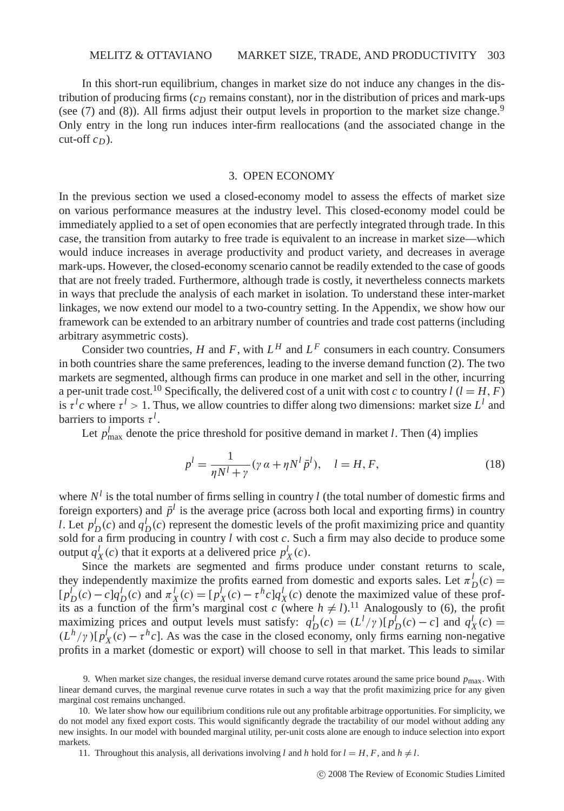In this short-run equilibrium, changes in market size do not induce any changes in the distribution of producing firms  $(c<sub>D</sub>$  remains constant), nor in the distribution of prices and mark-ups (see  $(7)$  and  $(8)$ ). All firms adjust their output levels in proportion to the market size change.<sup>9</sup> Only entry in the long run induces inter-firm reallocations (and the associated change in the cut-off  $c_D$ ).

## 3. OPEN ECONOMY

In the previous section we used a closed-economy model to assess the effects of market size on various performance measures at the industry level. This closed-economy model could be immediately applied to a set of open economies that are perfectly integrated through trade. In this case, the transition from autarky to free trade is equivalent to an increase in market size—which would induce increases in average productivity and product variety, and decreases in average mark-ups. However, the closed-economy scenario cannot be readily extended to the case of goods that are not freely traded. Furthermore, although trade is costly, it nevertheless connects markets in ways that preclude the analysis of each market in isolation. To understand these inter-market linkages, we now extend our model to a two-country setting. In the Appendix, we show how our framework can be extended to an arbitrary number of countries and trade cost patterns (including arbitrary asymmetric costs).

Consider two countries, *H* and *F*, with  $L^H$  and  $L^F$  consumers in each country. Consumers in both countries share the same preferences, leading to the inverse demand function (2). The two markets are segmented, although firms can produce in one market and sell in the other, incurring a per-unit trade cost.<sup>10</sup> Specifically, the delivered cost of a unit with cost *c* to country  $l$  ( $l = H, F$ ) is  $\tau^l c$  where  $\tau^l > 1$ . Thus, we allow countries to differ along two dimensions: market size  $L^l$  and barriers to imports  $\tau^l$ .

Let  $p_{\text{max}}^l$  denote the price threshold for positive demand in market *l*. Then (4) implies

$$
p^{l} = \frac{1}{\eta N^{l} + \gamma} (\gamma \alpha + \eta N^{l} \bar{p}^{l}), \quad l = H, F,
$$
\n(18)

where  $N^l$  is the total number of firms selling in country *l* (the total number of domestic firms and foreign exporters) and  $\bar{p}^l$  is the average price (across both local and exporting firms) in country *l*. Let  $p_D^l(c)$  and  $q_D^l(c)$  represent the domestic levels of the profit maximizing price and quantity sold for a firm producing in country *l* with cost *c*. Such a firm may also decide to produce some output  $q_X^l(c)$  that it exports at a delivered price  $p_X^l(c)$ .

Since the markets are segmented and firms produce under constant returns to scale, they independently maximize the profits earned from domestic and exports sales. Let  $\pi_D^l(c)$  =  $[p_D^l(c) - c]q_D^l(c)$  and  $\pi_X^l(c) = [p_X^l(c) - \tau^h c]q_X^l(c)$  denote the maximized value of these profits as a function of the firm's marginal cost *c* (where  $h \neq l$ ).<sup>11</sup> Analogously to (6), the profit maximizing prices and output levels must satisfy:  $q_D^l(c) = (L^l/\gamma) [p_D^l(c) - c]$  and  $q_X^l(c) =$  $(L^h/\gamma)[p_X^l(c) - \tau^h c]$ . As was the case in the closed economy, only firms earning non-negative profits in a market (domestic or export) will choose to sell in that market. This leads to similar

<sup>9.</sup> When market size changes, the residual inverse demand curve rotates around the same price bound  $p_{\text{max}}$ . With linear demand curves, the marginal revenue curve rotates in such a way that the profit maximizing price for any given marginal cost remains unchanged.

<sup>10.</sup> We later show how our equilibrium conditions rule out any profitable arbitrage opportunities. For simplicity, we do not model any fixed export costs. This would significantly degrade the tractability of our model without adding any new insights. In our model with bounded marginal utility, per-unit costs alone are enough to induce selection into export markets.

<sup>11.</sup> Throughout this analysis, all derivations involving *l* and *h* hold for  $l = H, F$ , and  $h \neq l$ .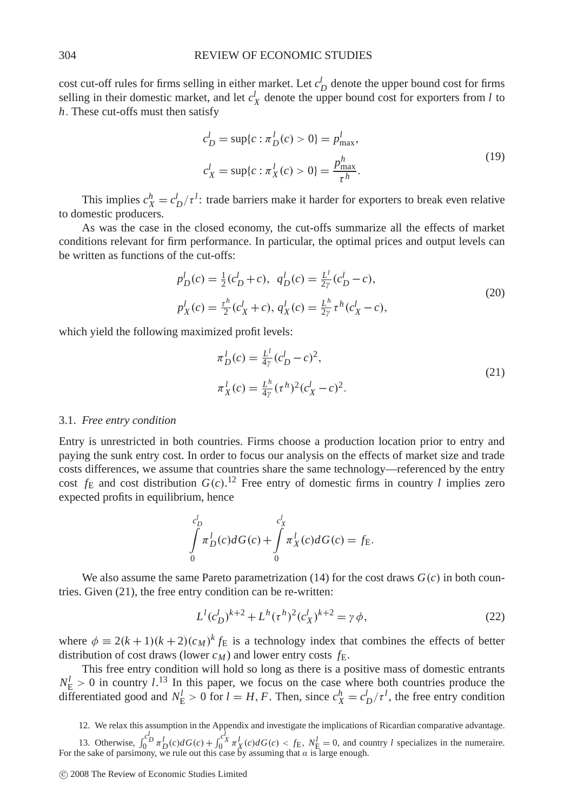cost cut-off rules for firms selling in either market. Let  $c_D^l$  denote the upper bound cost for firms selling in their domestic market, and let  $c_X^l$  denote the upper bound cost for exporters from *l* to *h*. These cut-offs must then satisfy

$$
c_D^l = \sup\{c : \pi_D^l(c) > 0\} = p_{\text{max}}^l,
$$
  

$$
c_X^l = \sup\{c : \pi_X^l(c) > 0\} = \frac{p_{\text{max}}^h}{\tau^h}.
$$
 (19)

This implies  $c_X^h = c_D^l / \tau^l$ : trade barriers make it harder for exporters to break even relative to domestic producers.

As was the case in the closed economy, the cut-offs summarize all the effects of market conditions relevant for firm performance. In particular, the optimal prices and output levels can be written as functions of the cut-offs:

$$
p_D^l(c) = \frac{1}{2}(c_D^l + c), \quad q_D^l(c) = \frac{L^l}{2\gamma}(c_D^l - c),
$$
  
\n
$$
p_X^l(c) = \frac{\tau^h}{2}(c_X^l + c), \quad q_X^l(c) = \frac{L^h}{2\gamma}\tau^h(c_X^l - c),
$$
\n(20)

which yield the following maximized profit levels:

$$
\pi_D^l(c) = \frac{L^l}{4\gamma} (c_D^l - c)^2,
$$
  
\n
$$
\pi_X^l(c) = \frac{L^h}{4\gamma} (\tau^h)^2 (c_X^l - c)^2.
$$
\n(21)

#### 3.1. *Free entry condition*

Entry is unrestricted in both countries. Firms choose a production location prior to entry and paying the sunk entry cost. In order to focus our analysis on the effects of market size and trade costs differences, we assume that countries share the same technology—referenced by the entry cost  $f_E$  and cost distribution  $G(c)$ .<sup>12</sup> Free entry of domestic firms in country *l* implies zero expected profits in equilibrium, hence

$$
\int_{0}^{c_{D}^{l}} \pi_{D}^{l}(c) dG(c) + \int_{0}^{c_{X}^{l}} \pi_{X}^{l}(c) dG(c) = f_{E}.
$$

We also assume the same Pareto parametrization  $(14)$  for the cost draws  $G(c)$  in both countries. Given (21), the free entry condition can be re-written:

$$
L^{l}(c_{D}^{l})^{k+2} + L^{h}(\tau^{h})^{2}(c_{X}^{l})^{k+2} = \gamma \phi,
$$
\n(22)

where  $\phi \equiv 2(k+1)(k+2)(c_M)^k f$  is a technology index that combines the effects of better distribution of cost draws (lower  $c_M$ ) and lower entry costs  $f_E$ .

This free entry condition will hold so long as there is a positive mass of domestic entrants  $N_E^l > 0$  in country *l*.<sup>13</sup> In this paper, we focus on the case where both countries produce the differentiated good and  $N_E^l > 0$  for  $l = H, F$ . Then, since  $c_X^h = c_D^l / \tau^l$ , the free entry condition

12. We relax this assumption in the Appendix and investigate the implications of Ricardian comparative advantage.

13. Otherwise,  $\int_0^{c_D^l} \pi_D^l(c) dG(c) + \int_0^{c_X^l} \pi_X^l(c) dG(c) < f_E$ ,  $N_E^l = 0$ , and country *l* specializes in the numeraire.<br>For the sake of parsimony, we rule out this case by assuming that *a* is large enough.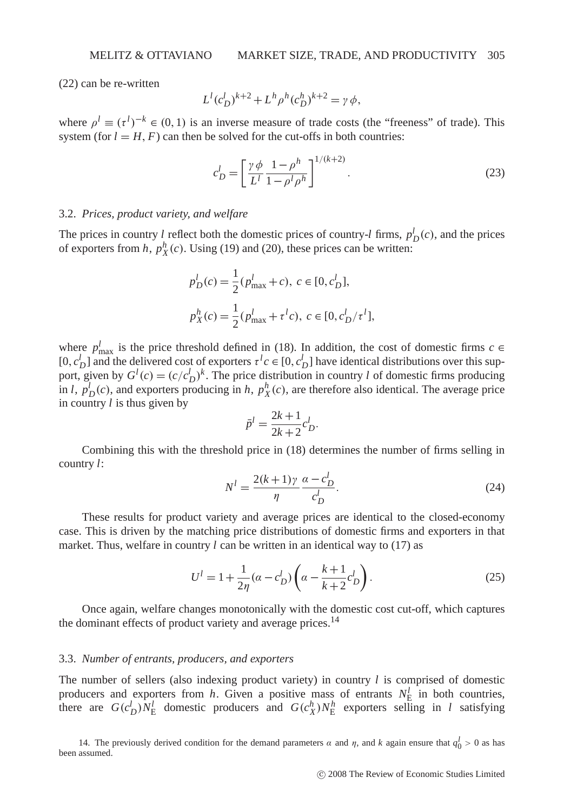(22) can be re-written

$$
L^{l}(c_{D}^{l})^{k+2} + L^{h}\rho^{h}(c_{D}^{h})^{k+2} = \gamma \phi,
$$

where  $\rho^l \equiv (\tau^l)^{-k} \in (0, 1)$  is an inverse measure of trade costs (the "freeness" of trade). This system (for  $l = H, F$ ) can then be solved for the cut-offs in both countries:

$$
c_D^l = \left[\frac{\gamma \phi}{L^l} \frac{1 - \rho^h}{1 - \rho^l \rho^h}\right]^{1/(k+2)}.
$$
 (23)

### 3.2. *Prices, product variety, and welfare*

The prices in country *l* reflect both the domestic prices of country-*l* firms,  $p_D^l(c)$ , and the prices of exporters from *h*,  $p_X^h(c)$ . Using (19) and (20), these prices can be written:

$$
p_D^l(c) = \frac{1}{2} (p_{\text{max}}^l + c), \ c \in [0, c_D^l],
$$
  

$$
p_X^h(c) = \frac{1}{2} (p_{\text{max}}^l + \tau^l c), \ c \in [0, c_D^l / \tau^l],
$$

where  $p^l_{\text{max}}$  is the price threshold defined in (18). In addition, the cost of domestic firms  $c \in I$  $[0, c_D^l]$  and the delivered cost of exporters  $\tau^l c \in [0, c_D^l]$  have identical distributions over this support, given by  $G^l(c) = (c/c_D^l)^k$ . The price distribution in country *l* of domestic firms producing in *l*,  $p_D^l(c)$ , and exporters producing in *h*,  $p_X^h(c)$ , are therefore also identical. The average price in country *l* is thus given by

$$
\bar{p}^l = \frac{2k+1}{2k+2}c_D^l.
$$

Combining this with the threshold price in (18) determines the number of firms selling in country *l*:

$$
N^l = \frac{2(k+1)\gamma}{\eta} \frac{\alpha - c_D^l}{c_D^l}.\tag{24}
$$

These results for product variety and average prices are identical to the closed-economy case. This is driven by the matching price distributions of domestic firms and exporters in that market. Thus, welfare in country *l* can be written in an identical way to (17) as

$$
U^{l} = 1 + \frac{1}{2\eta} (\alpha - c_{D}^{l}) \left( \alpha - \frac{k+1}{k+2} c_{D}^{l} \right).
$$
 (25)

Once again, welfare changes monotonically with the domestic cost cut-off, which captures the dominant effects of product variety and average prices.<sup>14</sup>

## 3.3. *Number of entrants, producers, and exporters*

The number of sellers (also indexing product variety) in country *l* is comprised of domestic producers and exporters from *h*. Given a positive mass of entrants  $N_E^l$  in both countries, there are  $G(c_D^l)N_E^l$  domestic producers and  $G(c_X^h)N_E^h$  exporters selling in *l* satisfying

<sup>14.</sup> The previously derived condition for the demand parameters  $\alpha$  and  $\eta$ , and  $k$  again ensure that  $q_0^l > 0$  as has been assumed.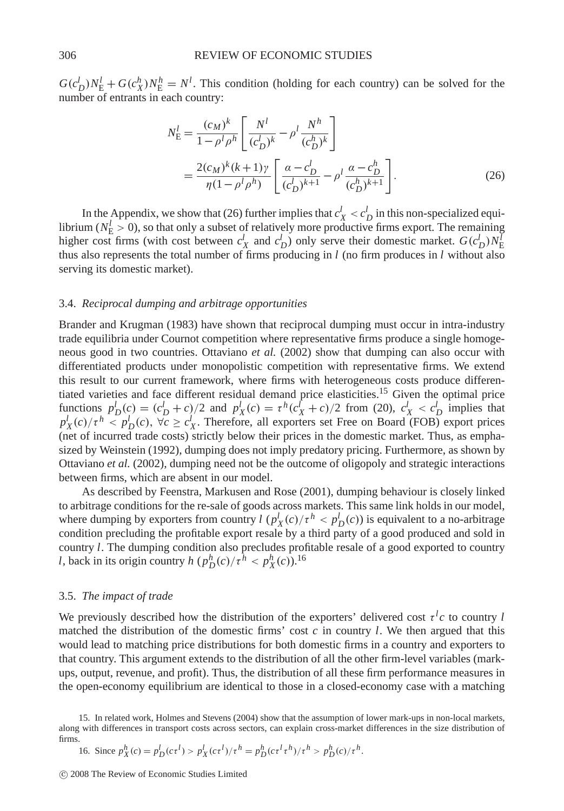$G(c_D^l)N_E^l + G(c_X^h)N_E^h = N^l$ . This condition (holding for each country) can be solved for the number of entrants in each country:

$$
N_{\rm E}^l = \frac{(c_M)^k}{1 - \rho^l \rho^h} \left[ \frac{N^l}{(c_D^l)^k} - \rho^l \frac{N^h}{(c_D^h)^k} \right]
$$
  
= 
$$
\frac{2(c_M)^k (k+1)\gamma}{\eta (1 - \rho^l \rho^h)} \left[ \frac{\alpha - c_D^l}{(c_D^l)^{k+1}} - \rho^l \frac{\alpha - c_D^h}{(c_D^h)^{k+1}} \right].
$$
 (26)

In the Appendix, we show that (26) further implies that  $c_X^l < c_D^l$  in this non-specialized equilibrium ( $N_E^l > 0$ ), so that only a subset of relatively more productive firms export. The remaining higher cost firms (with cost between  $c_X^l$  and  $c_D^l$ ) only serve their domestic market.  $G(c_D^l)N_E^l$ thus also represents the total number of firms producing in *l* (no firm produces in *l* without also serving its domestic market).

## 3.4. *Reciprocal dumping and arbitrage opportunities*

Brander and Krugman (1983) have shown that reciprocal dumping must occur in intra-industry trade equilibria under Cournot competition where representative firms produce a single homogeneous good in two countries. Ottaviano *et al.* (2002) show that dumping can also occur with differentiated products under monopolistic competition with representative firms. We extend this result to our current framework, where firms with heterogeneous costs produce differentiated varieties and face different residual demand price elasticities.15 Given the optimal price functions  $p_D^l(c) = (c_D^l + c)/2$  and  $p_X^l(c) = \tau^h(c_X^l + c)/2$  from (20),  $c_X^l < c_D^l$  implies that  $p_X^l(c)/\tau^h$  <  $p_D^l(c)$ ,  $\forall c \geq c_X^l$ . Therefore, all exporters set Free on Board (FOB) export prices (net of incurred trade costs) strictly below their prices in the domestic market. Thus, as emphasized by Weinstein (1992), dumping does not imply predatory pricing. Furthermore, as shown by Ottaviano *et al.* (2002), dumping need not be the outcome of oligopoly and strategic interactions between firms, which are absent in our model.

As described by Feenstra, Markusen and Rose (2001), dumping behaviour is closely linked to arbitrage conditions for the re-sale of goods across markets. This same link holds in our model, where dumping by exporters from country *l* ( $p_X^l(c)/\tau^h < p_D^l(c)$ ) is equivalent to a no-arbitrage condition precluding the profitable export resale by a third party of a good produced and sold in country *l*. The dumping condition also precludes profitable resale of a good exported to country *l*, back in its origin country  $h (p_D^h(c)/\tau^h < p_X^h(c)).$ <sup>16</sup>

#### 3.5. *The impact of trade*

We previously described how the distribution of the exporters' delivered cost  $\tau^l c$  to country *l* matched the distribution of the domestic firms' cost  $c$  in country  $l$ . We then argued that this would lead to matching price distributions for both domestic firms in a country and exporters to that country. This argument extends to the distribution of all the other firm-level variables (markups, output, revenue, and profit). Thus, the distribution of all these firm performance measures in the open-economy equilibrium are identical to those in a closed-economy case with a matching

16. Since 
$$
p_X^h(c) = p_D^l(c\tau^l) > p_X^l(c\tau^l)/\tau^h = p_D^h(c\tau^l\tau^h)/\tau^h > p_D^h(c)/\tau^h
$$
.

<sup>15.</sup> In related work, Holmes and Stevens (2004) show that the assumption of lower mark-ups in non-local markets, along with differences in transport costs across sectors, can explain cross-market differences in the size distribution of firms.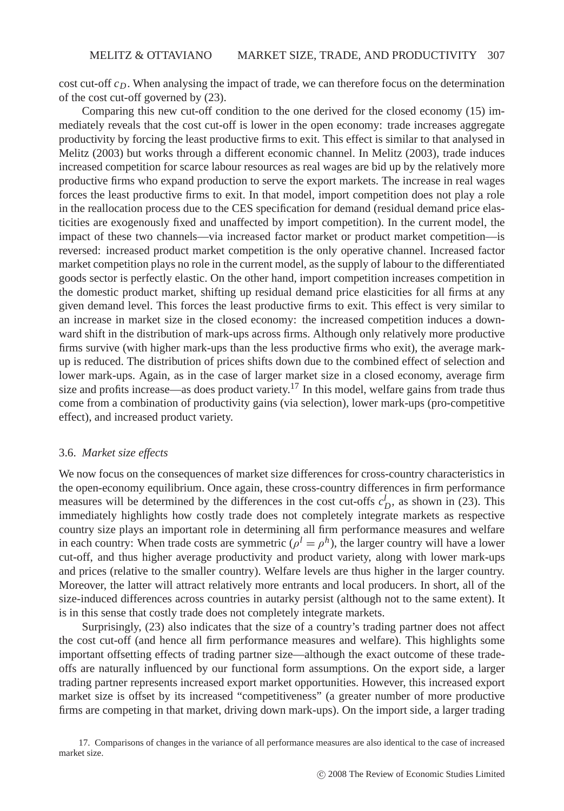cost cut-off  $c<sub>D</sub>$ . When analysing the impact of trade, we can therefore focus on the determination of the cost cut-off governed by (23).

Comparing this new cut-off condition to the one derived for the closed economy (15) immediately reveals that the cost cut-off is lower in the open economy: trade increases aggregate productivity by forcing the least productive firms to exit. This effect is similar to that analysed in Melitz (2003) but works through a different economic channel. In Melitz (2003), trade induces increased competition for scarce labour resources as real wages are bid up by the relatively more productive firms who expand production to serve the export markets. The increase in real wages forces the least productive firms to exit. In that model, import competition does not play a role in the reallocation process due to the CES specification for demand (residual demand price elasticities are exogenously fixed and unaffected by import competition). In the current model, the impact of these two channels—via increased factor market or product market competition—is reversed: increased product market competition is the only operative channel. Increased factor market competition plays no role in the current model, as the supply of labour to the differentiated goods sector is perfectly elastic. On the other hand, import competition increases competition in the domestic product market, shifting up residual demand price elasticities for all firms at any given demand level. This forces the least productive firms to exit. This effect is very similar to an increase in market size in the closed economy: the increased competition induces a downward shift in the distribution of mark-ups across firms. Although only relatively more productive firms survive (with higher mark-ups than the less productive firms who exit), the average markup is reduced. The distribution of prices shifts down due to the combined effect of selection and lower mark-ups. Again, as in the case of larger market size in a closed economy, average firm size and profits increase—as does product variety.<sup>17</sup> In this model, welfare gains from trade thus come from a combination of productivity gains (via selection), lower mark-ups (pro-competitive effect), and increased product variety.

## 3.6. *Market size effects*

We now focus on the consequences of market size differences for cross-country characteristics in the open-economy equilibrium. Once again, these cross-country differences in firm performance measures will be determined by the differences in the cost cut-offs  $c_D^l$ , as shown in (23). This immediately highlights how costly trade does not completely integrate markets as respective country size plays an important role in determining all firm performance measures and welfare in each country: When trade costs are symmetric  $(\rho^l = \rho^h)$ , the larger country will have a lower cut-off, and thus higher average productivity and product variety, along with lower mark-ups and prices (relative to the smaller country). Welfare levels are thus higher in the larger country. Moreover, the latter will attract relatively more entrants and local producers. In short, all of the size-induced differences across countries in autarky persist (although not to the same extent). It is in this sense that costly trade does not completely integrate markets.

Surprisingly, (23) also indicates that the size of a country's trading partner does not affect the cost cut-off (and hence all firm performance measures and welfare). This highlights some important offsetting effects of trading partner size—although the exact outcome of these tradeoffs are naturally influenced by our functional form assumptions. On the export side, a larger trading partner represents increased export market opportunities. However, this increased export market size is offset by its increased "competitiveness" (a greater number of more productive firms are competing in that market, driving down mark-ups). On the import side, a larger trading

<sup>17.</sup> Comparisons of changes in the variance of all performance measures are also identical to the case of increased market size.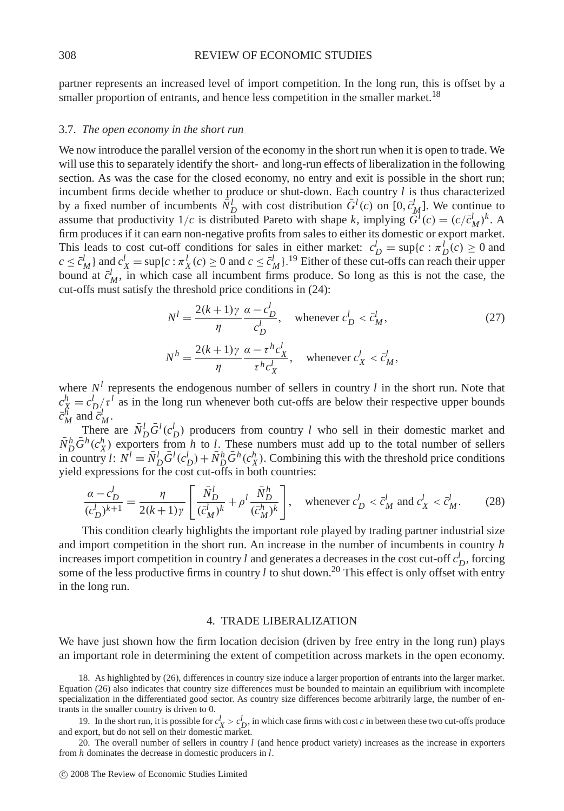partner represents an increased level of import competition. In the long run, this is offset by a smaller proportion of entrants, and hence less competition in the smaller market.<sup>18</sup>

#### 3.7. *The open economy in the short run*

We now introduce the parallel version of the economy in the short run when it is open to trade. We will use this to separately identify the short- and long-run effects of liberalization in the following section. As was the case for the closed economy, no entry and exit is possible in the short run; incumbent firms decide whether to produce or shut-down. Each country *l* is thus characterized by a fixed number of incumbents  $\bar{N}_D^l$  with cost distribution  $\bar{G}^l(c)$  on  $[0, \bar{c}_M^l]$ . We continue to assume that productivity  $1/c$  is distributed Pareto with shape *k*, implying  $\tilde{G}^l(c) = (c/\tilde{c}_M^l)^k$ . A firm produces if it can earn non-negative profits from sales to either its domestic or export market. This leads to cost cut-off conditions for sales in either market:  $c_D^l = \sup\{c : \pi_D^l(c) \ge 0 \text{ and } 0 \le l \le l\}$  $c \le \bar{c}_M^l$  and  $c_X^l = \sup\{c : \pi_X^l(c) \ge 0 \text{ and } c \le \bar{c}_M^l\}$ .<sup>19</sup> Either of these cut-offs can reach their upper bound at  $\bar{c}_M^l$ , in which case all incumbent firms produce. So long as this is not the case, the cut-offs must satisfy the threshold price conditions in (24):

$$
N^{l} = \frac{2(k+1)\gamma}{\eta} \frac{\alpha - c_{D}^{l}}{c_{D}^{l}}, \quad \text{whenever } c_{D}^{l} < \bar{c}_{M}^{l},
$$
  
\n
$$
N^{h} = \frac{2(k+1)\gamma}{\eta} \frac{\alpha - \tau^{h} c_{X}^{l}}{\tau^{h} c_{X}^{l}}, \quad \text{whenever } c_{X}^{l} < \bar{c}_{M}^{l},
$$
\n(27)

where  $N^l$  represents the endogenous number of sellers in country  $l$  in the short run. Note that  $c_X^h = c_D^l / \tau^l$  as in the long run whenever both cut-offs are below their respective upper bounds  $\bar{c}_M^{\bar{h}}$  and  $\bar{c}_M^l$ .

There are  $\bar{N}_{D}^{l}\bar{G}^{l}(c_{D}^{l})$  producers from country *l* who sell in their domestic market and  $\bar{N}_D^h \bar{G}^h(c_X^h)$  exporters from *h* to *l*. These numbers must add up to the total number of sellers in country l:  $N^l = \bar{N}_D^l \bar{G}^l(c_D^l) + \bar{N}_D^h \bar{G}^h(c_X^h)$ . Combining this with the threshold price conditions yield expressions for the cost cut-offs in both countries:

$$
\frac{a-c_D^l}{(c_D^l)^{k+1}} = \frac{\eta}{2(k+1)\gamma} \left[ \frac{\bar{N}_D^l}{(\bar{c}_M^l)^k} + \rho^l \frac{\bar{N}_D^h}{(\bar{c}_M^h)^k} \right], \quad \text{whenever } c_D^l < \bar{c}_M^l \text{ and } c_X^l < \bar{c}_M^l. \tag{28}
$$

This condition clearly highlights the important role played by trading partner industrial size and import competition in the short run. An increase in the number of incumbents in country *h* increases import competition in country *l* and generates a decreases in the cost cut-off  $c_D^l$ , forcing some of the less productive firms in country *l* to shut down.<sup>20</sup> This effect is only offset with entry in the long run.

## 4. TRADE LIBERALIZATION

We have just shown how the firm location decision (driven by free entry in the long run) plays an important role in determining the extent of competition across markets in the open economy.

<sup>18.</sup> As highlighted by (26), differences in country size induce a larger proportion of entrants into the larger market. Equation (26) also indicates that country size differences must be bounded to maintain an equilibrium with incomplete specialization in the differentiated good sector. As country size differences become arbitrarily large, the number of entrants in the smaller country is driven to 0.

<sup>19.</sup> In the short run, it is possible for  $c_X^l > c_D^l$ , in which case firms with cost *c* in between these two cut-offs produce and export, but do not sell on their domestic market.

<sup>20.</sup> The overall number of sellers in country *l* (and hence product variety) increases as the increase in exporters from *h* dominates the decrease in domestic producers in *l*.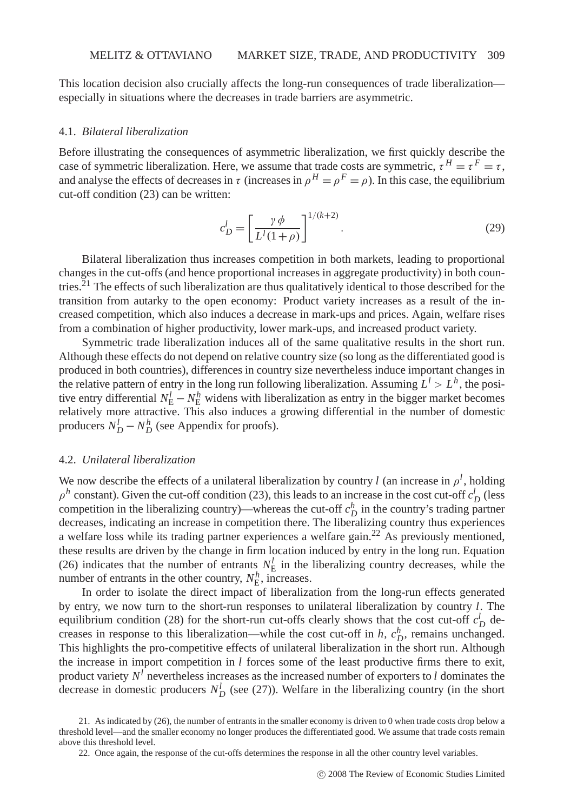This location decision also crucially affects the long-run consequences of trade liberalization especially in situations where the decreases in trade barriers are asymmetric.

## 4.1. *Bilateral liberalization*

Before illustrating the consequences of asymmetric liberalization, we first quickly describe the case of symmetric liberalization. Here, we assume that trade costs are symmetric,  $\tau^H = \tau^F = \tau$ , and analyse the effects of decreases in  $\tau$  (increases in  $\rho^H = \rho^F = \rho$ ). In this case, the equilibrium cut-off condition (23) can be written:

$$
c_D^l = \left[\frac{\gamma \phi}{L^l(1+\rho)}\right]^{1/(k+2)}.\tag{29}
$$

Bilateral liberalization thus increases competition in both markets, leading to proportional changes in the cut-offs (and hence proportional increases in aggregate productivity) in both countries.<sup>21</sup> The effects of such liberalization are thus qualitatively identical to those described for the transition from autarky to the open economy: Product variety increases as a result of the increased competition, which also induces a decrease in mark-ups and prices. Again, welfare rises from a combination of higher productivity, lower mark-ups, and increased product variety.

Symmetric trade liberalization induces all of the same qualitative results in the short run. Although these effects do not depend on relative country size (so long as the differentiated good is produced in both countries), differences in country size nevertheless induce important changes in the relative pattern of entry in the long run following liberalization. Assuming  $L^l > L^h$ , the positive entry differential  $N_E^l - N_E^h$  widens with liberalization as entry in the bigger market becomes relatively more attractive. This also induces a growing differential in the number of domestic producers  $N_D^l - N_D^h$  (see Appendix for proofs).

## 4.2. *Unilateral liberalization*

We now describe the effects of a unilateral liberalization by country *l* (an increase in  $\rho^l$ , holding  $\rho^h$  constant). Given the cut-off condition (23), this leads to an increase in the cost cut-off  $c_D^l$  (less competition in the liberalizing country)—whereas the cut-off  $c_D^h$  in the country's trading partner decreases, indicating an increase in competition there. The liberalizing country thus experiences a welfare loss while its trading partner experiences a welfare gain.<sup>22</sup> As previously mentioned, these results are driven by the change in firm location induced by entry in the long run. Equation (26) indicates that the number of entrants  $N_E^l$  in the liberalizing country decreases, while the number of entrants in the other country,  $N_E^h$ , increases.

In order to isolate the direct impact of liberalization from the long-run effects generated by entry, we now turn to the short-run responses to unilateral liberalization by country *l*. The equilibrium condition (28) for the short-run cut-offs clearly shows that the cost cut-off  $c_D^l$  decreases in response to this liberalization—while the cost cut-off in *h*,  $c_D^h$ , remains unchanged. This highlights the pro-competitive effects of unilateral liberalization in the short run. Although the increase in import competition in *l* forces some of the least productive firms there to exit, product variety  $N^l$  nevertheless increases as the increased number of exporters to *l* dominates the decrease in domestic producers  $N_D^l$  (see (27)). Welfare in the liberalizing country (in the short

<sup>21.</sup> As indicated by (26), the number of entrants in the smaller economy is driven to 0 when trade costs drop below a threshold level—and the smaller economy no longer produces the differentiated good. We assume that trade costs remain above this threshold level.

<sup>22.</sup> Once again, the response of the cut-offs determines the response in all the other country level variables.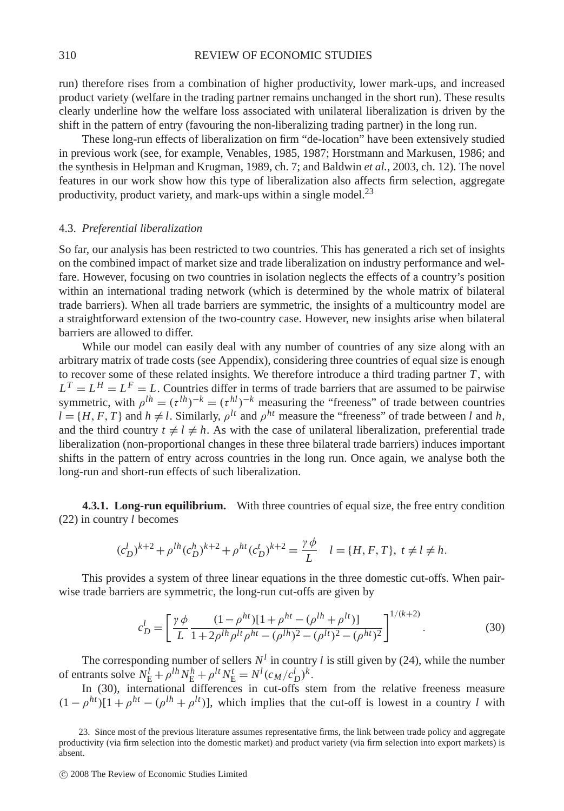run) therefore rises from a combination of higher productivity, lower mark-ups, and increased product variety (welfare in the trading partner remains unchanged in the short run). These results clearly underline how the welfare loss associated with unilateral liberalization is driven by the shift in the pattern of entry (favouring the non-liberalizing trading partner) in the long run.

These long-run effects of liberalization on firm "de-location" have been extensively studied in previous work (see, for example, Venables, 1985, 1987; Horstmann and Markusen, 1986; and the synthesis in Helpman and Krugman, 1989, ch. 7; and Baldwin *et al.*, 2003, ch. 12). The novel features in our work show how this type of liberalization also affects firm selection, aggregate productivity, product variety, and mark-ups within a single model.<sup>23</sup>

## 4.3. *Preferential liberalization*

So far, our analysis has been restricted to two countries. This has generated a rich set of insights on the combined impact of market size and trade liberalization on industry performance and welfare. However, focusing on two countries in isolation neglects the effects of a country's position within an international trading network (which is determined by the whole matrix of bilateral trade barriers). When all trade barriers are symmetric, the insights of a multicountry model are a straightforward extension of the two-country case. However, new insights arise when bilateral barriers are allowed to differ.

While our model can easily deal with any number of countries of any size along with an arbitrary matrix of trade costs (see Appendix), considering three countries of equal size is enough to recover some of these related insights. We therefore introduce a third trading partner *T*, with  $L^T = L^H = L^F = L$ . Countries differ in terms of trade barriers that are assumed to be pairwise symmetric, with  $\rho^{lh} = (\tau^{lh})^{-k} = (\tau^{hl})^{-k}$  measuring the "freeness" of trade between countries  $l = \{H, F, T\}$  and  $h \neq l$ . Similarly,  $\rho^{lt}$  and  $\rho^{ht}$  measure the "freeness" of trade between *l* and *h*, and the third country  $t \neq l \neq h$ . As with the case of unilateral liberalization, preferential trade liberalization (non-proportional changes in these three bilateral trade barriers) induces important shifts in the pattern of entry across countries in the long run. Once again, we analyse both the long-run and short-run effects of such liberalization.

**4.3.1. Long-run equilibrium.** With three countries of equal size, the free entry condition (22) in country *l* becomes

$$
(c_D^l)^{k+2} + \rho^{lh} (c_D^h)^{k+2} + \rho^{ht} (c_D^t)^{k+2} = \frac{\gamma \phi}{L} \quad l = \{H, F, T\}, \ t \neq l \neq h.
$$

This provides a system of three linear equations in the three domestic cut-offs. When pairwise trade barriers are symmetric, the long-run cut-offs are given by

$$
c_D^l = \left[ \frac{\gamma \phi}{L} \frac{(1 - \rho^{ht}) [1 + \rho^{ht} - (\rho^{lh} + \rho^{lt})]}{1 + 2\rho^{lh} \rho^{lt} \rho^{ht} - (\rho^{lh})^2 - (\rho^{lt})^2 - (\rho^{ht})^2} \right]^{1/(k+2)}.
$$
(30)

The corresponding number of sellers  $N^l$  in country *l* is still given by (24), while the number of entrants solve  $N_{\rm E}^l + \rho^{lh} N_{\rm E}^h + \rho^{lt} N_{\rm E}^t = N^l (c_M/c_D^l)^k$ .

In (30), international differences in cut-offs stem from the relative freeness measure  $(1 - \rho^{ht})[1 + \rho^{ht} - (\rho^{lh} + \rho^{lt})]$ , which implies that the cut-off is lowest in a country *l* with

c 2008 The Review of Economic Studies Limited

<sup>23.</sup> Since most of the previous literature assumes representative firms, the link between trade policy and aggregate productivity (via firm selection into the domestic market) and product variety (via firm selection into export markets) is absent.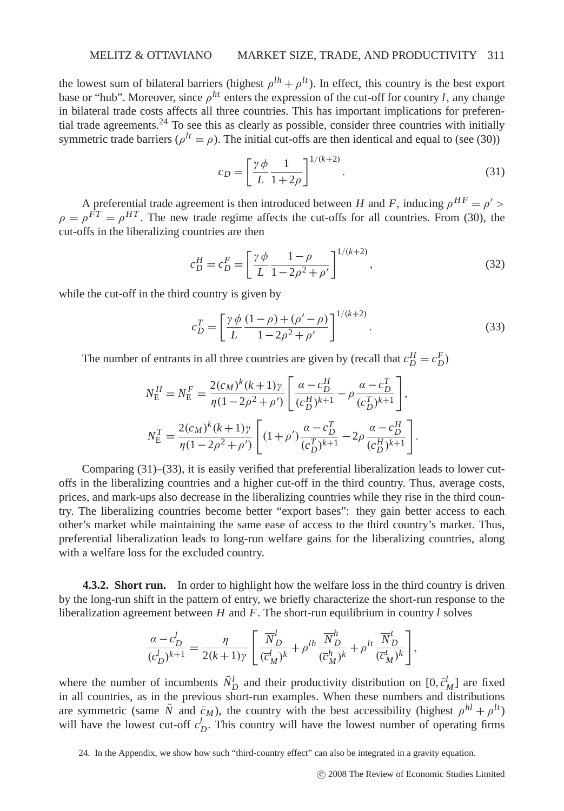the lowest sum of bilateral barriers (highest  $\rho^{lh} + \rho^{lt}$ ). In effect, this country is the best export base or "hub". Moreover, since  $\rho^{ht}$  enters the expression of the cut-off for country *l*, any change in bilateral trade costs affects all three countries. This has important implications for preferential trade agreements.<sup>24</sup> To see this as clearly as possible, consider three countries with initially symmetric trade barriers ( $\rho^{lt} = \rho$ ). The initial cut-offs are then identical and equal to (see (30))

$$
c_D = \left[\frac{\gamma \phi}{L} \frac{1}{1 + 2\rho}\right]^{1/(k+2)}.\tag{31}
$$

A preferential trade agreement is then introduced between *H* and *F*, inducing  $\rho^{HF} = \rho'$  $\rho = \rho^{FT} = \rho^{HT}$ . The new trade regime affects the cut-offs for all countries. From (30), the cut-offs in the liberalizing countries are then

$$
c_D^H = c_D^F = \left[\frac{\gamma \phi}{L} \frac{1 - \rho}{1 - 2\rho^2 + \rho'}\right]^{1/(k+2)},\tag{32}
$$

while the cut-off in the third country is given by

$$
c_D^T = \left[ \frac{\gamma \phi}{L} \frac{(1 - \rho) + (\rho' - \rho)}{1 - 2\rho^2 + \rho'} \right]^{1/(k+2)}.
$$
 (33)

The number of entrants in all three countries are given by (recall that  $c_D^H = c_D^F$ )

$$
N_{\rm E}^H = N_{\rm E}^F = \frac{2(c_M)^k (k+1)\gamma}{\eta(1-2\rho^2+\rho')} \left[ \frac{\alpha - c_D^H}{(c_D^H)^{k+1}} - \rho \frac{\alpha - c_D^T}{(c_D^T)^{k+1}} \right],
$$
  

$$
N_{\rm E}^T = \frac{2(c_M)^k (k+1)\gamma}{\eta(1-2\rho^2+\rho')} \left[ (1+\rho') \frac{\alpha - c_D^T}{(c_D^T)^{k+1}} - 2\rho \frac{\alpha - c_D^H}{(c_D^H)^{k+1}} \right].
$$

Comparing (31)–(33), it is easily verified that preferential liberalization leads to lower cutoffs in the liberalizing countries and a higher cut-off in the third country. Thus, average costs, prices, and mark-ups also decrease in the liberalizing countries while they rise in the third country. The liberalizing countries become better "export bases": they gain better access to each other's market while maintaining the same ease of access to the third country's market. Thus, preferential liberalization leads to long-run welfare gains for the liberalizing countries, along with a welfare loss for the excluded country.

**4.3.2. Short run.** In order to highlight how the welfare loss in the third country is driven by the long-run shift in the pattern of entry, we briefly characterize the short-run response to the liberalization agreement between *H* and *F*. The short-run equilibrium in country *l* solves

$$
\frac{\alpha-c^l_D}{(c^l_D)^{k+1}}=\frac{\eta}{2(k+1)\gamma}\left[\frac{\overline{N}^l_D}{(\overline{c}^l_M)^k}+\rho^{lh}\frac{\overline{N}^h_D}{(\overline{c}^h_M)^k}+\rho^{lt}\frac{\overline{N}^t_D}{(\overline{c}^t_M)^k}\right],
$$

where the number of incumbents  $\bar{N}_D^l$  and their productivity distribution on  $[0, \bar{c}_M^l]$  are fixed in all countries, as in the previous short-run examples. When these numbers and distributions are symmetric (same  $\bar{N}$  and  $\bar{c}_M$ ), the country with the best accessibility (highest  $\rho^{hl} + \rho^{lt}$ ) will have the lowest cut-off  $c_D^l$ . This country will have the lowest number of operating firms

<sup>24.</sup> In the Appendix, we show how such "third-country effect" can also be integrated in a gravity equation.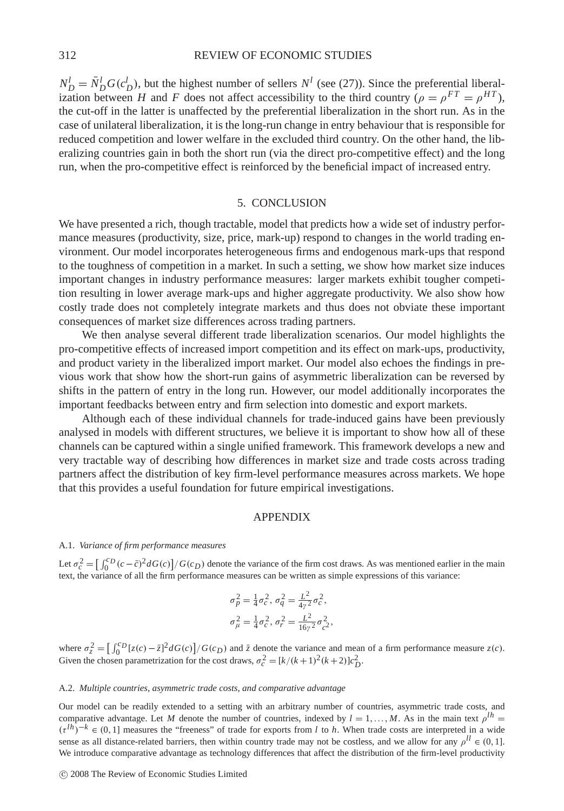$N_D^l = \bar{N}_D^l G(c_D^l)$ , but the highest number of sellers  $N^l$  (see (27)). Since the preferential liberalization between *H* and *F* does not affect accessibility to the third country  $(\rho = \rho^{FT} = \rho^{HT})$ , the cut-off in the latter is unaffected by the preferential liberalization in the short run. As in the case of unilateral liberalization, it is the long-run change in entry behaviour that is responsible for reduced competition and lower welfare in the excluded third country. On the other hand, the liberalizing countries gain in both the short run (via the direct pro-competitive effect) and the long run, when the pro-competitive effect is reinforced by the beneficial impact of increased entry.

## 5. CONCLUSION

We have presented a rich, though tractable, model that predicts how a wide set of industry performance measures (productivity, size, price, mark-up) respond to changes in the world trading environment. Our model incorporates heterogeneous firms and endogenous mark-ups that respond to the toughness of competition in a market. In such a setting, we show how market size induces important changes in industry performance measures: larger markets exhibit tougher competition resulting in lower average mark-ups and higher aggregate productivity. We also show how costly trade does not completely integrate markets and thus does not obviate these important consequences of market size differences across trading partners.

We then analyse several different trade liberalization scenarios. Our model highlights the pro-competitive effects of increased import competition and its effect on mark-ups, productivity, and product variety in the liberalized import market. Our model also echoes the findings in previous work that show how the short-run gains of asymmetric liberalization can be reversed by shifts in the pattern of entry in the long run. However, our model additionally incorporates the important feedbacks between entry and firm selection into domestic and export markets.

Although each of these individual channels for trade-induced gains have been previously analysed in models with different structures, we believe it is important to show how all of these channels can be captured within a single unified framework. This framework develops a new and very tractable way of describing how differences in market size and trade costs across trading partners affect the distribution of key firm-level performance measures across markets. We hope that this provides a useful foundation for future empirical investigations.

## APPENDIX

#### A.1. *Variance of firm performance measures*

Let  $\sigma_c^2 = \left[\int_0^{c_D} (c - \bar{c})^2 dG(c)\right] / G(c_D)$  denote the variance of the firm cost draws. As was mentioned earlier in the main text, the variance of all the firm performance measures can be written as simple expressions of this variance:

$$
\begin{split} \sigma^2_P &= \tfrac{1}{4} \sigma^2_c, \, \sigma^2_q = \tfrac{L^2}{4 \gamma^2} \sigma^2_c, \\ \sigma^2_\mu &= \tfrac{1}{4} \sigma^2_c, \, \sigma^2_r = \tfrac{L^2}{16 \gamma^2} \sigma^2_{c^2}, \end{split}
$$

where  $\sigma_z^2 = \left[\int_0^{c} D[z(c) - \bar{z}]^2 dG(c)\right] / G(c_D)$  and  $\bar{z}$  denote the variance and mean of a firm performance measure  $z(c)$ . Given the chosen parametrization for the cost draws,  $\sigma_c^2 = \frac{k}{k+1^2(k+1)^2(k+2)}c_D^2$ .

#### A.2. *Multiple countries, asymmetric trade costs, and comparative advantage*

Our model can be readily extended to a setting with an arbitrary number of countries, asymmetric trade costs, and comparative advantage. Let *M* denote the number of countries, indexed by  $l = 1, ..., M$ . As in the main text  $\rho^{lh} =$ (τ*lh* )−*<sup>k</sup>* <sup>∈</sup> (0,1] measures the "freeness" of trade for exports from *<sup>l</sup>* to *<sup>h</sup>*. When trade costs are interpreted in a wide sense as all distance-related barriers, then within country trade may not be costless, and we allow for any  $\rho^{ll} \in (0,1]$ . We introduce comparative advantage as technology differences that affect the distribution of the firm-level productivity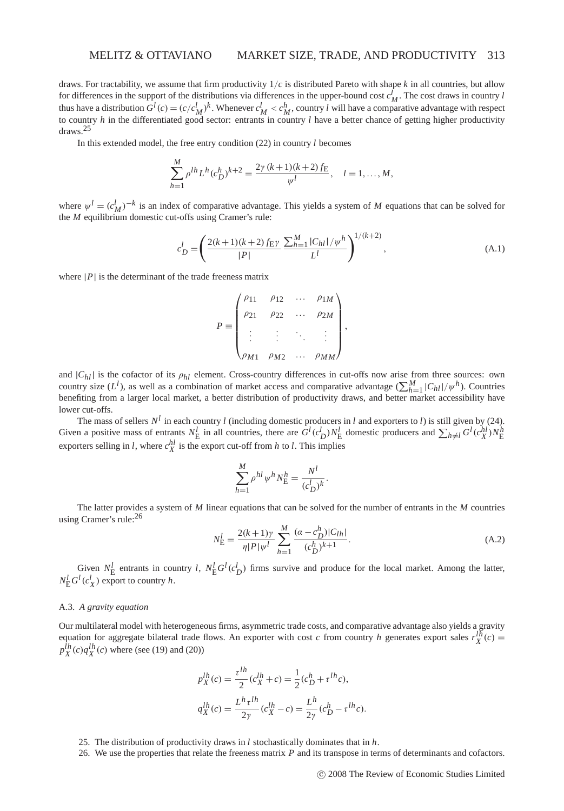draws. For tractability, we assume that firm productivity 1/*c* is distributed Pareto with shape *k* in all countries, but allow for differences in the support of the distributions via differences in the upper-bound cost  $c_M^l$ . The cost draws in country *l* thus have a distribution  $G^l(c) = (c/c_M^l)^k$ . Whenever  $c_M^l$  <  $c_M^h$ , country l will have a comparative advantage with respect to country *h* in the differentiated good sector: entrants in country *l* have a better chance of getting higher productivity draws.25

In this extended model, the free entry condition (22) in country *l* becomes

$$
\sum_{h=1}^{M} \rho^{lh} L^h (c_D^h)^{k+2} = \frac{2\gamma (k+1)(k+2)f_E}{\psi^l}, \quad l = 1, ..., M,
$$

where  $\psi^l = (c_M^l)^{-k}$  is an index of comparative advantage. This yields a system of *M* equations that can be solved for the *M* equilibrium domestic cut-offs using Cramer's rule:

$$
c_D^l = \left(\frac{2(k+1)(k+2)f_{\rm E}\gamma}{|P|} \frac{\sum_{h=1}^M |C_{hl}|/\psi^h}{L^l}\right)^{1/(k+2)},\tag{A.1}
$$

where  $|P|$  is the determinant of the trade freeness matrix

$$
P = \begin{pmatrix} \rho_{11} & \rho_{12} & \dots & \rho_{1M} \\ \rho_{21} & \rho_{22} & \dots & \rho_{2M} \\ \vdots & \vdots & \ddots & \vdots \\ \rho_{M1} & \rho_{M2} & \dots & \rho_{MM} \end{pmatrix},
$$

and  $|C_{hl}|$  is the cofactor of its  $\rho_{hl}$  element. Cross-country differences in cut-offs now arise from three sources: own country size  $(L^l)$ , as well as a combination of market access and comparative advantage  $(\sum_{h=1}^M |C_{hl}|/\psi^h)$ . Countries benefiting from a larger local market, a better distribution of productivity draws, and better market accessibility have lower cut-offs.

The mass of sellers  $N^l$  in each country *l* (including domestic producers in *l* and exporters to *l*) is still given by (24). Given a positive mass of entrants  $N_E^l$  in all countries, there are  $G^l(c_D^l)N_E^l$  domestic producers and  $\sum_{h\neq l} G^l(c_X^{hl})N_E^h$ exporters selling in *l*, where  $c_N^{hl}$  is the export cut-off from *h* to *l*. This implies

$$
\sum_{h=1}^{M} \rho^{hl} \psi^h N_{\mathcal{E}}^h = \frac{N^l}{(c_D^l)^k}.
$$

The latter provides a system of *M* linear equations that can be solved for the number of entrants in the *M* countries using Cramer's rule:<sup>26</sup>

$$
N_{\rm E}^l = \frac{2(k+1)\gamma}{\eta|P|\psi^l} \sum_{h=1}^M \frac{(\alpha - c_D^h)|C_{lh}|}{(c_D^h)^{k+1}}.
$$
\n(A.2)

Given  $N_E^l$  entrants in country *l*,  $N_E^l G^l(c_D^l)$  firms survive and produce for the local market. Among the latter,  $N_E^l G^l(c_X^l)$  export to country *h*.

#### A.3. *A gravity equation*

Our multilateral model with heterogeneous firms, asymmetric trade costs, and comparative advantage also yields a gravity equation for aggregate bilateral trade flows. An exporter with cost *c* from country *h* generates export sales  $r_X^{lh}(c) = \frac{r}{l}$  $p_X^{lh}(c)q_X^{lh}(c)$  where (see (19) and (20))

$$
p_X^{lh}(c) = \frac{\tau^{lh}}{2} (c_X^{lh} + c) = \frac{1}{2} (c_D^h + \tau^{lh} c),
$$
  

$$
q_X^{lh}(c) = \frac{L^h \tau^{lh}}{2\gamma} (c_X^{lh} - c) = \frac{L^h}{2\gamma} (c_D^h - \tau^{lh} c).
$$

25. The distribution of productivity draws in *l* stochastically dominates that in *h*.

26. We use the properties that relate the freeness matrix *P* and its transpose in terms of determinants and cofactors.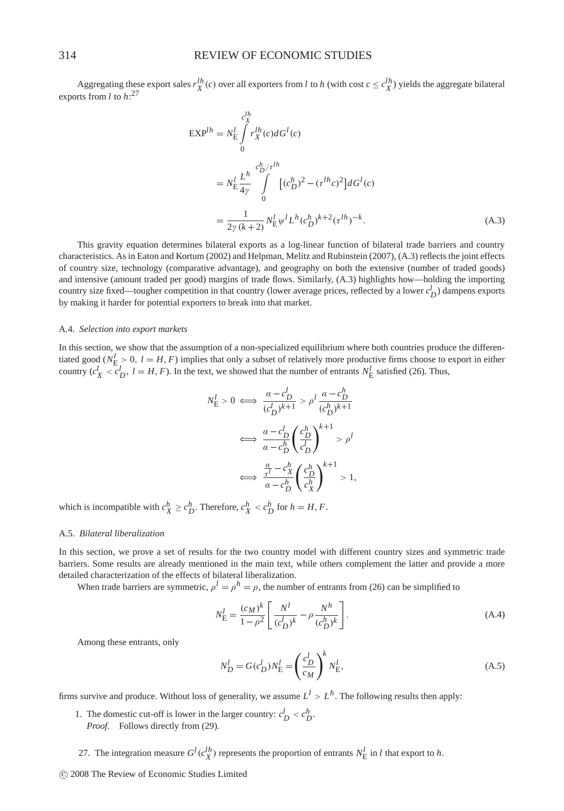## 314 REVIEW OF ECONOMIC STUDIES

Aggregating these export sales  $r_X^{lh}(c)$  over all exporters from *l* to *h* (with cost  $c \leq c_X^{lh}$ ) yields the aggregate bilateral exports from *l* to *h*: 27

$$
EXP^{lh} = N_E^l \int_0^{c_R^lh} r_X^{lh}(c) dG^l(c)
$$
  
=  $N_E^l \frac{L^h}{4\gamma} \int_0^{c_D^h/\tau^{lh}} [(c_D^h)^2 - (\tau^{lh} c)^2] dG^l(c)$   
=  $\frac{1}{2\gamma (k+2)} N_E^l \psi^l L^h (c_D^h)^{k+2} (\tau^{lh})^{-k}.$  (A.3)

This gravity equation determines bilateral exports as a log-linear function of bilateral trade barriers and country characteristics. As in Eaton and Kortum (2002) and Helpman, Melitz and Rubinstein (2007), (A.3) reflects the joint effects of country size, technology (comparative advantage), and geography on both the extensive (number of traded goods) and intensive (amount traded per good) margins of trade flows. Similarly, (A.3) highlights how—holding the importing country size fixed—tougher competition in that country (lower average prices, reflected by a lower  $c_D^l$ ) dampens exports by making it harder for potential exporters to break into that market.

#### A.4. *Selection into export markets*

In this section, we show that the assumption of a non-specialized equilibrium where both countries produce the differentiated good ( $N_{\rm E_2}^l > 0$ ,  $l = H, F$ ) implies that only a subset of relatively more productive firms choose to export in either country  $(c_X^l < c_D^l)$ ,  $l = H, F$ ). In the text, we showed that the number of entrants  $N_E^l$  satisfied (26). Thus,

$$
N_{\rm E}^l > 0 \iff \frac{a - c_D^l}{(c_D^l)^{k+1}} > \rho^l \frac{a - c_D^h}{(c_D^h)^{k+1}}
$$

$$
\iff \frac{a - c_D^l}{a - c_D^h} \left(\frac{c_D^h}{c_D^l}\right)^{k+1} > \rho^l
$$

$$
\iff \frac{\frac{a}{t'} - c_N^h}{a - c_D^h} \left(\frac{c_D^h}{c_X^h}\right)^{k+1} > 1,
$$

which is incompatible with  $c_X^h \ge c_D^h$ . Therefore,  $c_X^h < c_D^h$  for  $h = H, F$ .

#### A.5. *Bilateral liberalization*

In this section, we prove a set of results for the two country model with different country sizes and symmetric trade barriers. Some results are already mentioned in the main text, while others complement the latter and provide a more detailed characterization of the effects of bilateral liberalization.

When trade barriers are symmetric,  $\rho^l = \rho^h = \rho$ , the number of entrants from (26) can be simplified to

$$
N_{\rm E}^l = \frac{(c_M)^k}{1 - \rho^2} \left[ \frac{N^l}{(c_D^l)^k} - \rho \frac{N^h}{(c_D^h)^k} \right].
$$
 (A.4)

Among these entrants, only

$$
N_D^l = G(c_D^l) N_{\rm E}^l = \left(\frac{c_D^l}{c_M}\right)^k N_{\rm E}^l,
$$
\n(A.5)

firms survive and produce. Without loss of generality, we assume  $L^l > L^h$ . The following results then apply:

- 1. The domestic cut-off is lower in the larger country:  $c_D^l < c_D^h$ . *Proof*. Follows directly from (29).
- 27. The integration measure  $G^l(c_X^{lh})$  represents the proportion of entrants  $N_E^l$  in *l* that export to *h*.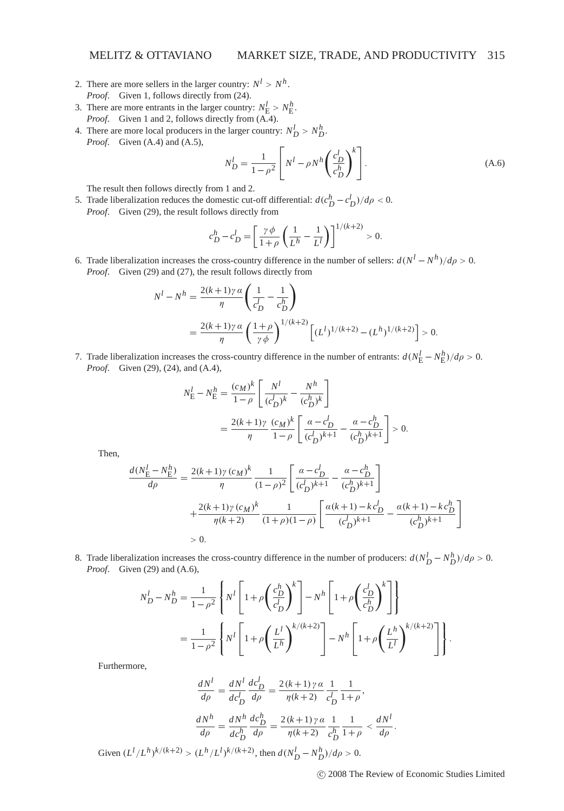- 2. There are more sellers in the larger country:  $N^l > N^h$ . *Proof*. Given 1, follows directly from (24).
- 3. There are more entrants in the larger country:  $N_E^l > N_E^h$ . *Proof*. Given 1 and 2, follows directly from (A.4).
- 4. There are more local producers in the larger country:  $N_D^l > N_D^h$ . *Proof*. Given (A.4) and (A.5),

$$
N_D^l = \frac{1}{1 - \rho^2} \left[ N^l - \rho N^h \left( \frac{c_D^l}{c_D^h} \right)^k \right].
$$
 (A.6)

The result then follows directly from 1 and 2.

5. Trade liberalization reduces the domestic cut-off differential:  $d(c_D^h - c_D^l)/d\rho < 0$ . *Proof*. Given (29), the result follows directly from

$$
c_D^h - c_D^l = \left[ \frac{\gamma \phi}{1 + \rho} \left( \frac{1}{L^h} - \frac{1}{L^l} \right) \right]^{1/(k+2)} > 0.
$$

6. Trade liberalization increases the cross-country difference in the number of sellers:  $d(N^l - N^h)/d\rho > 0$ . *Proof*. Given (29) and (27), the result follows directly from

$$
N^{l} - N^{h} = \frac{2(k+1)\gamma \alpha}{\eta} \left(\frac{1}{c_{D}^{l}} - \frac{1}{c_{D}^{h}}\right)
$$
  
= 
$$
\frac{2(k+1)\gamma \alpha}{\eta} \left(\frac{1+\rho}{\gamma \phi}\right)^{1/(k+2)} \left[(L^{l})^{1/(k+2)} - (L^{h})^{1/(k+2)}\right] > 0.
$$

7. Trade liberalization increases the cross-country difference in the number of entrants:  $d(N_E^l - N_E^h)/d\rho > 0$ . *Proof*. Given (29), (24), and (A.4),

$$
\begin{split} N_{\rm E}^l - N_{\rm E}^h &= \frac{(c_M)^k}{1-\rho} \left[ \frac{N^l}{(c_D^l)^k} - \frac{N^h}{(c_D^h)^k} \right] \\ &= \frac{2(k+1)\gamma}{\eta} \frac{(c_M)^k}{1-\rho} \left[ \frac{\alpha - c_D^l}{(c_D^l)^{k+1}} - \frac{\alpha - c_D^h}{(c_D^h)^{k+1}} \right] > 0. \end{split}
$$

Then,

$$
\frac{d(N_{\rm E}^l - N_{\rm E}^h)}{d\rho} = \frac{2(k+1)\gamma (c_M)^k}{\eta} \frac{1}{(1-\rho)^2} \left[ \frac{\alpha - c_D^l}{(c_D^l)^{k+1}} - \frac{\alpha - c_D^h}{(c_D^h)^{k+1}} \right] + \frac{2(k+1)\gamma (c_M)^k}{\eta(k+2)} \frac{1}{(1+\rho)(1-\rho)} \left[ \frac{\alpha(k+1) - kc_D^l}{(c_D^l)^{k+1}} - \frac{\alpha(k+1) - kc_D^h}{(c_D^h)^{k+1}} \right] \ge 0.
$$

8. Trade liberalization increases the cross-country difference in the number of producers:  $d(N_D^l - N_D^h)/d\rho > 0$ . *Proof*. Given (29) and (A.6),

$$
N_D^l - N_D^h = \frac{1}{1 - \rho^2} \left\{ N^l \left[ 1 + \rho \left( \frac{c_D^h}{c_D^l} \right)^k \right] - N^h \left[ 1 + \rho \left( \frac{c_D^l}{c_D^h} \right)^k \right] \right\}
$$
  

$$
= \frac{1}{1 - \rho^2} \left\{ N^l \left[ 1 + \rho \left( \frac{L^l}{L^h} \right)^{k/(k+2)} \right] - N^h \left[ 1 + \rho \left( \frac{L^h}{L^l} \right)^{k/(k+2)} \right] \right\}.
$$

Furthermore,

$$
\frac{dN^l}{d\rho} = \frac{dN^l}{dc_D^l} \frac{dc_D^l}{d\rho} = \frac{2(k+1)\gamma \alpha}{\eta(k+2)} \frac{1}{c_D^l} \frac{1}{1+\rho},
$$

$$
\frac{dN^h}{d\rho} = \frac{dN^h}{dc_D^h} \frac{dc_D^h}{d\rho} = \frac{2(k+1)\gamma \alpha}{\eta(k+2)} \frac{1}{c_D^h} \frac{1}{1+\rho} < \frac{dN^l}{d\rho}.
$$

Given  $(L^{l}/L^{h})^{k/(k+2)} > (L^{h}/L^{l})^{k/(k+2)}$ , then  $d(N_{D}^{l} - N_{D}^{h})/d\rho > 0$ .

c 2008 The Review of Economic Studies Limited